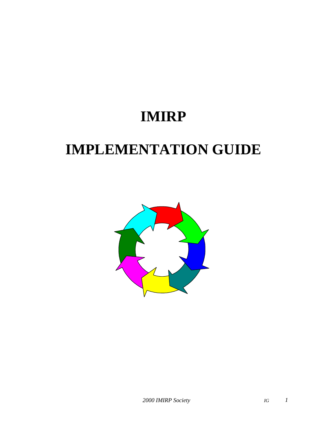# **IMIRP**

# **IMPLEMENTATION GUIDE**

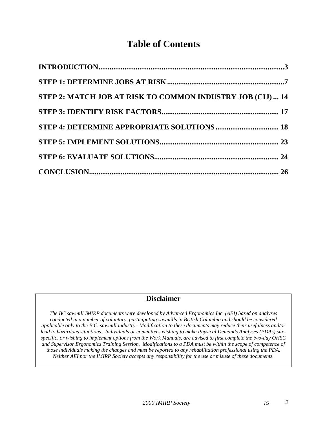## **Table of Contents**

| STEP 2: MATCH JOB AT RISK TO COMMON INDUSTRY JOB (CIJ)  14 |  |
|------------------------------------------------------------|--|
|                                                            |  |
|                                                            |  |
|                                                            |  |
|                                                            |  |
|                                                            |  |

#### **Disclaimer**

*The BC sawmill IMIRP documents were developed by Advanced Ergonomics Inc. (AEI) based on analyses conducted in a number of voluntary, participating sawmills in British Columbia and should be considered applicable only to the B.C. sawmill industry. Modification to these documents may reduce their usefulness and/or lead to hazardous situations. Individuals or committees wishing to make Physical Demands Analyses (PDAs) sitespecific, or wishing to implement options from the Work Manuals, are advised to first complete the two-day OHSC and Supervisor Ergonomics Training Session. Modifications to a PDA must be within the scope of competence of those individuals making the changes and must be reported to any rehabilitation professional using the PDA. Neither AEI nor the IMIRP Society accepts any responsibility for the use or misuse of these documents.*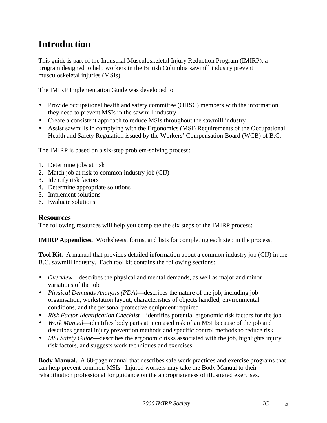## <span id="page-2-0"></span>**Introduction**

This guide is part of the Industrial Musculoskeletal Injury Reduction Program (IMIRP), a program designed to help workers in the British Columbia sawmill industry prevent musculoskeletal injuries (MSIs).

The IMIRP Implementation Guide was developed to:

- Provide occupational health and safety committee (OHSC) members with the information they need to prevent MSIs in the sawmill industry
- Create a consistent approach to reduce MSIs throughout the sawmill industry
- Assist sawmills in complying with the Ergonomics (MSI) Requirements of the Occupational Health and Safety Regulation issued by the Workers' Compensation Board (WCB) of B.C.

The IMIRP is based on a six-step problem-solving process:

- 1. Determine jobs at risk
- 2. Match job at risk to common industry job (CIJ)
- 3. Identify risk factors
- 4. Determine appropriate solutions
- 5. Implement solutions
- 6. Evaluate solutions

#### **Resources**

The following resources will help you complete the six steps of the IMIRP process:

**IMIRP Appendices.** Worksheets, forms, and lists for completing each step in the process.

**Tool Kit.** A manual that provides detailed information about a common industry job (CIJ) in the B.C. sawmill industry. Each tool kit contains the following sections:

- *Overview*—describes the physical and mental demands, as well as major and minor variations of the job
- *Physical Demands Analysis (PDA)*—describes the nature of the job, including job organisation, workstation layout, characteristics of objects handled, environmental conditions, and the personal protective equipment required
- *Risk Factor Identification Checklist*—identifies potential ergonomic risk factors for the job
- *Work Manual*—identifies body parts at increased risk of an MSI because of the job and describes general injury prevention methods and specific control methods to reduce risk
- *MSI Safety Guide*—describes the ergonomic risks associated with the job, highlights injury risk factors, and suggests work techniques and exercises

**Body Manual.** A 68-page manual that describes safe work practices and exercise programs that can help prevent common MSIs. Injured workers may take the Body Manual to their rehabilitation professional for guidance on the appropriateness of illustrated exercises.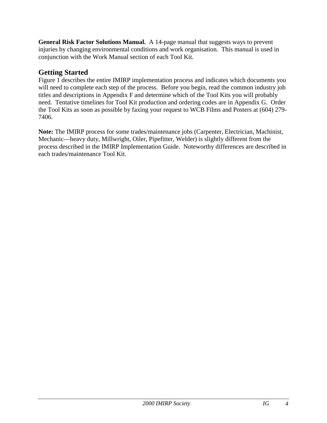**General Risk Factor Solutions Manual.** A 14-page manual that suggests ways to prevent injuries by changing environmental conditions and work organisation. This manual is used in conjunction with the Work Manual section of each Tool Kit.

#### **Getting Started**

Figure 1 describes the entire IMIRP implementation process and indicates which documents you will need to complete each step of the process. Before you begin, read the common industry job titles and descriptions in Appendix F and determine which of the Tool Kits you will probably need. Tentative timelines for Tool Kit production and ordering codes are in Appendix G. Order the Tool Kits as soon as possible by faxing your request to WCB Films and Posters at (604) 279- 7406.

**Note:** The IMIRP process for some trades/maintenance jobs (Carpenter, Electrician, Machinist, Mechanic—heavy duty, Millwright, Oiler, Pipefitter, Welder) is slightly different from the process described in the IMIRP Implementation Guide. Noteworthy differences are described in each trades/maintenance Tool Kit.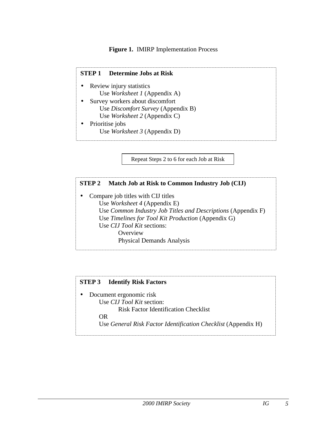#### **Figure 1.** IMIRP Implementation Process

#### **STEP 1 Determine Jobs at Risk**

- Review injury statistics Use *Worksheet 1* (Appendix A)
- Survey workers about discomfort Use *Discomfort Survey* (Appendix B) Use *Worksheet 2* (Appendix C)
- Prioritise jobs Use *Worksheet 3* (Appendix D)

Repeat Steps 2 to 6 for each Job at Risk

#### **STEP 2 Match Job at Risk to Common Industry Job (CIJ)**

• Compare job titles with CIJ titles Use *Worksheet 4* (Appendix E) Use *Common Industry Job Titles and Descriptions* (Appendix F) Use *Timelines for Tool Kit Production* (Appendix G) Use *CIJ Tool Kit* sections: **Overview** Physical Demands Analysis

#### **STEP 3 Identify Risk Factors**

• Document ergonomic risk Use *CIJ Tool Kit* section: Risk Factor Identification Checklist OR Use *General Risk Factor Identification Checklist* (Appendix H)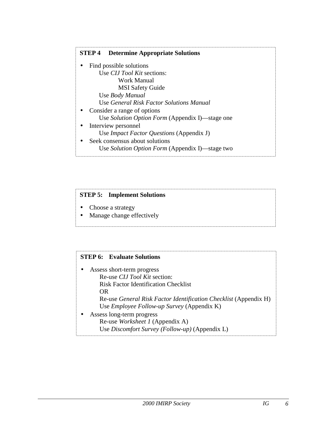#### **STEP 4 Determine Appropriate Solutions** • Find possible solutions Use *CIJ Tool Kit* sections: Work Manual MSI Safety Guide Use *Body Manual* Use *General Risk Factor Solutions Manual* • Consider a range of options Use *Solution Option Form* (Appendix I)—stage one • Interview personnel Use *Impact Factor Questions* (Appendix J) • Seek consensus about solutions Use *Solution Option Form* (Appendix I)—stage two

#### **STEP 5: Implement Solutions**

- Choose a strategy
- Manage change effectively

#### **STEP 6: Evaluate Solutions**

• Assess short-term progress Re-use *CIJ Tool Kit* section: Risk Factor Identification Checklist OR Re-use *General Risk Factor Identification Checklist* (Appendix H) Use *Employee Follow-up Survey* (Appendix K) • Assess long-term progress Re-use *Worksheet 1* (Appendix A) Use *Discomfort Survey (Follow-up)* (Appendix L)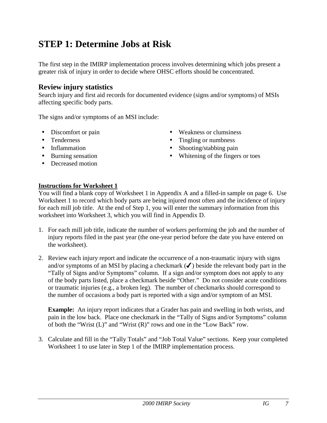## <span id="page-6-0"></span>**STEP 1: Determine Jobs at Risk**

The first step in the IMIRP implementation process involves determining which jobs present a greater risk of injury in order to decide where OHSC efforts should be concentrated.

#### **Review injury statistics**

Search injury and first aid records for documented evidence (signs and/or symptoms) of MSIs affecting specific body parts.

The signs and/or symptoms of an MSI include:

- 
- 
- 
- 
- Decreased motion
- Discomfort or pain Weakness or clumsiness
- Tenderness Tingling or numbness
- Inflammation Shooting/stabbing pain
- Burning sensation Whitening of the fingers or toes

#### **Instructions for Worksheet 1**

You will find a blank copy of Worksheet 1 in Appendix A and a filled-in sample on page 6. Use Worksheet 1 to record which body parts are being injured most often and the incidence of injury for each mill job title. At the end of Step 1, you will enter the summary information from this worksheet into Worksheet 3, which you will find in Appendix D.

- 1. For each mill job title, indicate the number of workers performing the job and the number of injury reports filed in the past year (the one-year period before the date you have entered on the worksheet).
- 2. Review each injury report and indicate the occurrence of a non-traumatic injury with signs and/or symptoms of an MSI by placing a checkmark  $(\checkmark)$  beside the relevant body part in the "Tally of Signs and/or Symptoms" column. If a sign and/or symptom does not apply to any of the body parts listed, place a checkmark beside "Other." Do not consider acute conditions or traumatic injuries (e.g., a broken leg). The number of checkmarks should correspond to the number of occasions a body part is reported with a sign and/or symptom of an MSI.

**Example:** An injury report indicates that a Grader has pain and swelling in both wrists, and pain in the low back. Place one checkmark in the "Tally of Signs and/or Symptoms" column of both the "Wrist (L)" and "Wrist (R)" rows and one in the "Low Back" row.

3. Calculate and fill in the "Tally Totals" and "Job Total Value" sections. Keep your completed Worksheet 1 to use later in Step 1 of the IMIRP implementation process.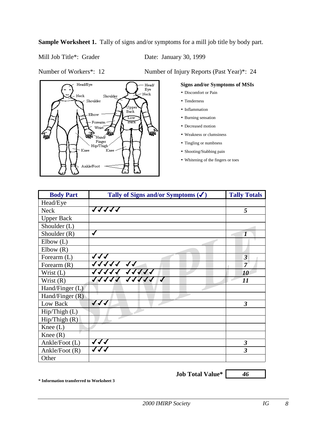**Sample Worksheet 1.** Tally of signs and/or symptoms for a mill job title by body part.

Mill Job Title\*: Grader Date: January 30, 1999

Number of Workers\*: 12 Number of Injury Reports (Past Year)\*: 24



#### **Signs and/or Symptoms of MSIs**

- Discomfort or Pain
- Tenderness
- Inflammation
- Burning sensation
- Decreased motion
- Weakness or clumsiness
- Tingling or numbness
- Shooting/Stabbing pain
- Whitening of the fingers or toes

| <b>Body Part</b>              | Tally of Signs and/or Symptoms $(\checkmark)$ | <b>Tally Totals</b>     |
|-------------------------------|-----------------------------------------------|-------------------------|
| Head/Eye                      |                                               |                         |
| <b>Neck</b>                   | 11111                                         | 5                       |
| <b>Upper Back</b>             |                                               |                         |
| Shoulder (L)                  |                                               |                         |
| Shoulder $(R)$                | ✔                                             |                         |
| Elbow(L)                      |                                               |                         |
| Elbow(R)                      |                                               |                         |
| Forearm (L)                   | 111                                           | 3 <sub>1</sub>          |
| Forearm $(R)$                 | 11111 11                                      | $7^{\circ}$             |
| Wrist (L)                     | 11111 11111                                   | 10                      |
| Wrist $(R)$                   | 11111 11111 1                                 | 11                      |
| Hand/Finger (L)               |                                               |                         |
| Hand/Finger $(R)$             |                                               |                         |
| Low Back                      | $\sqrt{\sqrt{2}}$                             | 3                       |
| $\text{Hip}/\text{Thigh}$ (L) |                                               |                         |
| $\text{Hip/Thigh}$ (R)        |                                               |                         |
| Knee $(L)$                    |                                               |                         |
| Knee $(R)$                    |                                               |                         |
| Ankle/Foot (L)                | 111                                           | $\overline{\mathbf{3}}$ |
| Ankle/Foot (R)                | 111                                           | $\overline{\mathbf{3}}$ |
| Other                         |                                               |                         |

**Job Total Value\*** *46*

**\* Information transferred to Worksheet 3**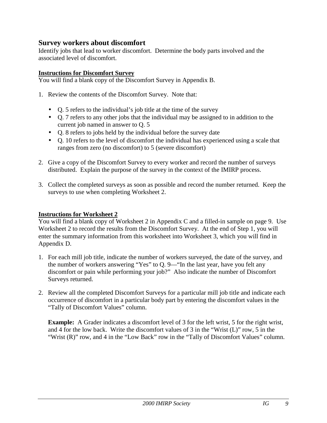#### **Survey workers about discomfort**

Identify jobs that lead to worker discomfort. Determine the body parts involved and the associated level of discomfort.

#### **Instructions for Discomfort Survey**

You will find a blank copy of the Discomfort Survey in Appendix B.

- 1. Review the contents of the Discomfort Survey. Note that:
	- Q. 5 refers to the individual's job title at the time of the survey
	- Q. 7 refers to any other jobs that the individual may be assigned to in addition to the current job named in answer to Q. 5
	- Q. 8 refers to jobs held by the individual before the survey date
	- Q. 10 refers to the level of discomfort the individual has experienced using a scale that ranges from zero (no discomfort) to 5 (severe discomfort)
- 2. Give a copy of the Discomfort Survey to every worker and record the number of surveys distributed. Explain the purpose of the survey in the context of the IMIRP process.
- 3. Collect the completed surveys as soon as possible and record the number returned. Keep the surveys to use when completing Worksheet 2.

#### **Instructions for Worksheet 2**

You will find a blank copy of Worksheet 2 in Appendix C and a filled-in sample on page 9. Use Worksheet 2 to record the results from the Discomfort Survey. At the end of Step 1, you will enter the summary information from this worksheet into Worksheet 3, which you will find in Appendix D.

- 1. For each mill job title, indicate the number of workers surveyed, the date of the survey, and the number of workers answering "Yes" to Q. 9—"In the last year, have you felt any discomfort or pain while performing your job?" Also indicate the number of Discomfort Surveys returned.
- 2. Review all the completed Discomfort Surveys for a particular mill job title and indicate each occurrence of discomfort in a particular body part by entering the discomfort values in the "Tally of Discomfort Values" column.

**Example:** A Grader indicates a discomfort level of 3 for the left wrist, 5 for the right wrist, and 4 for the low back. Write the discomfort values of 3 in the "Wrist (L)" row, 5 in the "Wrist (R)" row, and 4 in the "Low Back" row in the "Tally of Discomfort Values" column.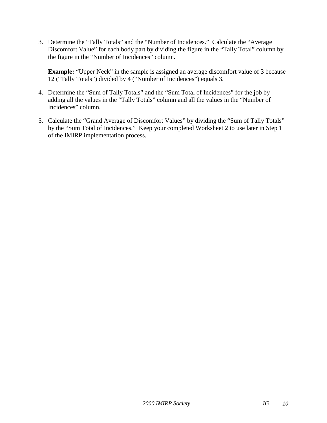3. Determine the "Tally Totals" and the "Number of Incidences." Calculate the "Average Discomfort Value" for each body part by dividing the figure in the "Tally Total" column by the figure in the "Number of Incidences" column.

**Example:** "Upper Neck" in the sample is assigned an average discomfort value of 3 because 12 ("Tally Totals") divided by 4 ("Number of Incidences") equals 3.

- 4. Determine the "Sum of Tally Totals" and the "Sum Total of Incidences" for the job by adding all the values in the "Tally Totals" column and all the values in the "Number of Incidences" column.
- 5. Calculate the "Grand Average of Discomfort Values" by dividing the "Sum of Tally Totals" by the "Sum Total of Incidences." Keep your completed Worksheet 2 to use later in Step 1 of the IMIRP implementation process.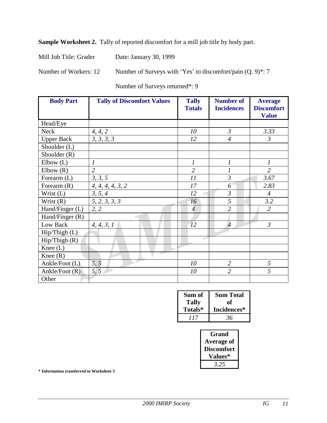**Sample Worksheet 2.** Tally of reported discomfort for a mill job title by body part.

Mill Job Title: Grader Date: January 30, 1999

Number of Workers: 12 Number of Surveys with 'Yes' to discomfort/pain (Q. 9)\*: 7

Number of Surveys returned\*: 9

| <b>Body Part</b>  | <b>Tally of Discomfort Values</b> | <b>Tally</b><br><b>Totals</b> | <b>Number of</b><br><b>Incidences</b> | <b>Average</b><br><b>Discomfort</b><br><b>Value</b> |
|-------------------|-----------------------------------|-------------------------------|---------------------------------------|-----------------------------------------------------|
| Head/Eye          |                                   |                               |                                       |                                                     |
| <b>Neck</b>       | 4, 4, 2                           | 10                            | $\mathfrak{Z}$                        | 3.33                                                |
| <b>Upper Back</b> | 3, 3, 3, 3                        | 12                            | $\overline{4}$                        | $\mathfrak{Z}$                                      |
| Shoulder (L)      |                                   |                               |                                       |                                                     |
| Shoulder $(R)$    |                                   |                               |                                       |                                                     |
| Elbow(L)          | $\overline{I}$                    | $\boldsymbol{l}$              | $\overline{I}$                        | $\mathcal{I}_{\mathcal{I}}$                         |
| Elbow(R)          | $\overline{2}$                    | $\overline{2}$                |                                       | $\overline{2}$                                      |
| Forearm $(L)$     | 3, 3, 5                           | 11                            | $\mathfrak{Z}$                        | 3.67                                                |
| Forearm $(R)$     | 4, 4, 4, 4, 3, 2                  | 17                            | 6                                     | 2.83                                                |
| Wrist (L)         | 3, 5, 4                           | 12                            | $\mathfrak{Z}$                        | $\overline{4}$                                      |
| Wrist $(R)$       | 5, 2, 3, 3, 3                     | 16                            | 5                                     | 3.2                                                 |
| Hand/Finger (L)   | 2, 2                              | $\overline{\mathcal{A}}$      | $\overline{2}$                        | $\overline{2}$                                      |
| Hand/Finger (R)   |                                   |                               |                                       |                                                     |
| Low Back          | 4, 4, 3, 1                        | 12                            | $\overline{4}$                        | $\overline{3}$                                      |
| Hip/Thigh (L)     |                                   |                               |                                       |                                                     |
| Hip/Thigh(R)      |                                   |                               |                                       |                                                     |
| Knee $(L)$        |                                   |                               |                                       |                                                     |
| Knee $(R)$        |                                   |                               |                                       |                                                     |
| Ankle/Foot (L)    | 5, 5                              | 10                            | $\overline{2}$                        | 5                                                   |
| Ankle/Foot $(R)$  | 5, 5                              | 10                            | $\overline{2}$                        | 5                                                   |
| Other             |                                   |                               |                                       |                                                     |

| Sum of       | <b>Sum Total</b> |
|--------------|------------------|
| <b>Tally</b> | оť               |
| Totals*      | Incidences*      |
| 117          | 36               |

| Grand             |
|-------------------|
| <b>Average of</b> |
| <b>Discomfort</b> |
| <b>Values*</b>    |
| 3.25              |

**\* Information transferred to Worksheet 3**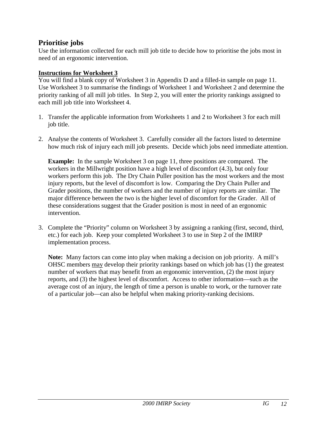#### **Prioritise jobs**

Use the information collected for each mill job title to decide how to prioritise the jobs most in need of an ergonomic intervention.

#### **Instructions for Worksheet 3**

You will find a blank copy of Worksheet 3 in Appendix D and a filled-in sample on page 11. Use Worksheet 3 to summarise the findings of Worksheet 1 and Worksheet 2 and determine the priority ranking of all mill job titles. In Step 2, you will enter the priority rankings assigned to each mill job title into Worksheet 4.

- 1. Transfer the applicable information from Worksheets 1 and 2 to Worksheet 3 for each mill job title.
- 2. Analyse the contents of Worksheet 3. Carefully consider all the factors listed to determine how much risk of injury each mill job presents. Decide which jobs need immediate attention.

**Example:** In the sample Worksheet 3 on page 11, three positions are compared. The workers in the Millwright position have a high level of discomfort (4.3), but only four workers perform this job. The Dry Chain Puller position has the most workers and the most injury reports, but the level of discomfort is low. Comparing the Dry Chain Puller and Grader positions, the number of workers and the number of injury reports are similar. The major difference between the two is the higher level of discomfort for the Grader. All of these considerations suggest that the Grader position is most in need of an ergonomic intervention.

3. Complete the "Priority" column on Worksheet 3 by assigning a ranking (first, second, third, etc.) for each job. Keep your completed Worksheet 3 to use in Step 2 of the IMIRP implementation process.

**Note:** Many factors can come into play when making a decision on job priority. A mill's OHSC members may develop their priority rankings based on which job has (1) the greatest number of workers that may benefit from an ergonomic intervention, (2) the most injury reports, and (3) the highest level of discomfort. Access to other information—such as the average cost of an injury, the length of time a person is unable to work, or the turnover rate of a particular job—can also be helpful when making priority-ranking decisions.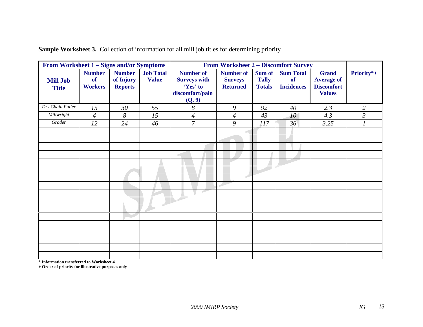| From Worksheet 1 – Signs and/or Symptoms |                                       |                                              |                                  |                                                                                  | <b>From Worksheet 2 – Discomfort Survey</b>           |                                         |                                                    |                                                                         |                |
|------------------------------------------|---------------------------------------|----------------------------------------------|----------------------------------|----------------------------------------------------------------------------------|-------------------------------------------------------|-----------------------------------------|----------------------------------------------------|-------------------------------------------------------------------------|----------------|
| <b>Mill Job</b><br><b>Title</b>          | <b>Number</b><br>of<br><b>Workers</b> | <b>Number</b><br>of Injury<br><b>Reports</b> | <b>Job Total</b><br><b>Value</b> | <b>Number of</b><br><b>Surveys with</b><br>'Yes' to<br>discomfort/pain<br>(Q. 9) | <b>Number of</b><br><b>Surveys</b><br><b>Returned</b> | Sum of<br><b>Tally</b><br><b>Totals</b> | <b>Sum Total</b><br><b>of</b><br><b>Incidences</b> | <b>Grand</b><br><b>Average of</b><br><b>Discomfort</b><br><b>Values</b> | Priority*+     |
| Dry Chain Puller                         | 15                                    | 30                                           | 55                               | 8                                                                                | 9                                                     | 92                                      | 40                                                 | 2.3                                                                     | $\overline{2}$ |
| Millwright                               | $\overline{4}$                        | 8                                            | 15                               | $\overline{4}$                                                                   | $\overline{4}$                                        | 43                                      | $10^{-}$                                           | 4.3                                                                     | $\mathfrak{Z}$ |
| Grader                                   | 12                                    | 24                                           | 46                               | $\overline{7}$                                                                   | 9                                                     | 117                                     | 36 <sup>7</sup>                                    | 3.25                                                                    |                |
|                                          |                                       |                                              |                                  |                                                                                  |                                                       |                                         |                                                    |                                                                         |                |
|                                          |                                       |                                              |                                  |                                                                                  |                                                       |                                         |                                                    |                                                                         |                |
|                                          |                                       |                                              |                                  |                                                                                  |                                                       |                                         |                                                    |                                                                         |                |
|                                          |                                       |                                              |                                  |                                                                                  |                                                       |                                         |                                                    |                                                                         |                |
|                                          |                                       |                                              |                                  |                                                                                  |                                                       |                                         |                                                    |                                                                         |                |
|                                          |                                       |                                              |                                  |                                                                                  |                                                       |                                         |                                                    |                                                                         |                |
|                                          |                                       |                                              |                                  |                                                                                  | Ê                                                     |                                         |                                                    |                                                                         |                |
|                                          |                                       |                                              |                                  |                                                                                  |                                                       |                                         |                                                    |                                                                         |                |
|                                          |                                       |                                              |                                  | E                                                                                |                                                       |                                         |                                                    |                                                                         |                |
|                                          |                                       |                                              |                                  |                                                                                  |                                                       |                                         |                                                    |                                                                         |                |
|                                          |                                       |                                              |                                  |                                                                                  |                                                       |                                         |                                                    |                                                                         |                |
|                                          |                                       |                                              |                                  |                                                                                  |                                                       |                                         |                                                    |                                                                         |                |
|                                          |                                       |                                              |                                  |                                                                                  |                                                       |                                         |                                                    |                                                                         |                |
|                                          |                                       |                                              |                                  |                                                                                  |                                                       |                                         |                                                    |                                                                         |                |
|                                          |                                       |                                              |                                  |                                                                                  |                                                       |                                         |                                                    |                                                                         |                |
|                                          |                                       |                                              |                                  |                                                                                  |                                                       |                                         |                                                    |                                                                         |                |
|                                          |                                       |                                              |                                  |                                                                                  |                                                       |                                         |                                                    |                                                                         |                |

**Sample Worksheet 3.** Collection of information for all mill job titles for determining priority

**\* Information transferred to Worksheet 4**

**+ Order of priority for illustrative purposes only**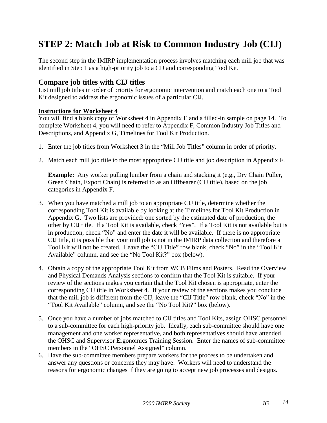## <span id="page-13-0"></span>**STEP 2: Match Job at Risk to Common Industry Job (CIJ)**

The second step in the IMIRP implementation process involves matching each mill job that was identified in Step 1 as a high-priority job to a CIJ and corresponding Tool Kit.

#### **Compare job titles with CIJ titles**

List mill job titles in order of priority for ergonomic intervention and match each one to a Tool Kit designed to address the ergonomic issues of a particular CIJ.

#### **Instructions for Worksheet 4**

You will find a blank copy of Worksheet 4 in Appendix E and a filled-in sample on page 14. To complete Worksheet 4, you will need to refer to Appendix F, Common Industry Job Titles and Descriptions, and Appendix G, Timelines for Tool Kit Production.

- 1. Enter the job titles from Worksheet 3 in the "Mill Job Titles" column in order of priority.
- 2. Match each mill job title to the most appropriate CIJ title and job description in Appendix F.

**Example:** Any worker pulling lumber from a chain and stacking it (e.g., Dry Chain Puller, Green Chain, Export Chain) is referred to as an Offbearer (CIJ title), based on the job categories in Appendix F.

- 3. When you have matched a mill job to an appropriate CIJ title, determine whether the corresponding Tool Kit is available by looking at the Timelines for Tool Kit Production in Appendix G. Two lists are provided: one sorted by the estimated date of production, the other by CIJ title. If a Tool Kit is available, check "Yes". If a Tool Kit is not available but is in production, check "No" and enter the date it will be available. If there is no appropriate CIJ title, it is possible that your mill job is not in the IMIRP data collection and therefore a Tool Kit will not be created. Leave the "CIJ Title" row blank, check "No" in the "Tool Kit Available" column, and see the "No Tool Kit?" box (below).
- 4. Obtain a copy of the appropriate Tool Kit from WCB Films and Posters. Read the Overview and Physical Demands Analysis sections to confirm that the Tool Kit is suitable. If your review of the sections makes you certain that the Tool Kit chosen is appropriate, enter the corresponding CIJ title in Worksheet 4. If your review of the sections makes you conclude that the mill job is different from the CIJ, leave the "CIJ Title" row blank, check "No" in the "Tool Kit Available" column, and see the "No Tool Kit?" box (below).
- 5. Once you have a number of jobs matched to CIJ titles and Tool Kits, assign OHSC personnel to a sub-committee for each high-priority job. Ideally, each sub-committee should have one management and one worker representative, and both representatives should have attended the OHSC and Supervisor Ergonomics Training Session. Enter the names of sub-committee members in the "OHSC Personnel Assigned" column.
- 6. Have the sub-committee members prepare workers for the process to be undertaken and answer any questions or concerns they may have. Workers will need to understand the reasons for ergonomic changes if they are going to accept new job processes and designs.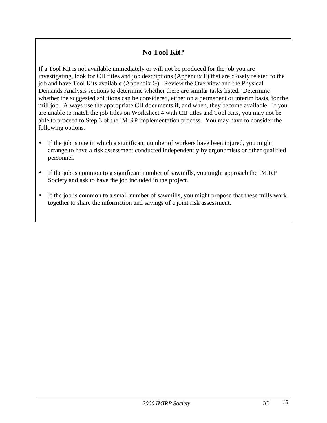### **No Tool Kit?**

If a Tool Kit is not available immediately or will not be produced for the job you are investigating, look for CIJ titles and job descriptions (Appendix F) that are closely related to the job and have Tool Kits available (Appendix G). Review the Overview and the Physical Demands Analysis sections to determine whether there are similar tasks listed. Determine whether the suggested solutions can be considered, either on a permanent or interim basis, for the mill job. Always use the appropriate CIJ documents if, and when, they become available. If you are unable to match the job titles on Worksheet 4 with CIJ titles and Tool Kits, you may not be able to proceed to Step 3 of the IMIRP implementation process. You may have to consider the following options:

- If the job is one in which a significant number of workers have been injured, you might arrange to have a risk assessment conducted independently by ergonomists or other qualified personnel.
- If the job is common to a significant number of sawmills, you might approach the IMIRP Society and ask to have the job included in the project.
- If the job is common to a small number of sawmills, you might propose that these mills work together to share the information and savings of a joint risk assessment.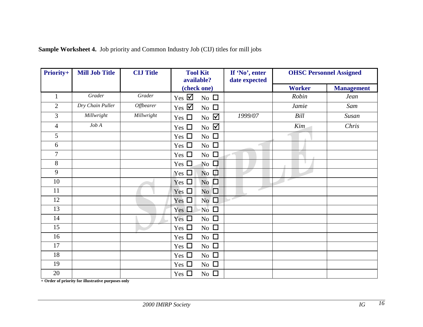| <b>Priority+</b> | <b>Mill Job Title</b> | <b>CIJ Title</b> | <b>Tool Kit</b><br>available?                                         | If 'No', enter<br>date expected | <b>OHSC Personnel Assigned</b> |                   |
|------------------|-----------------------|------------------|-----------------------------------------------------------------------|---------------------------------|--------------------------------|-------------------|
|                  |                       |                  | (check one)                                                           |                                 | <b>Worker</b>                  | <b>Management</b> |
| $\mathbf{1}$     | Grader                | Grader           | $Yes \nightharpoonup$<br>No $\square$                                 |                                 | Robin                          | Jean              |
| $\overline{2}$   | Dry Chain Puller      | <b>Offbearer</b> | $Yes \nightharpoonup$<br>No $\square$                                 |                                 | Jamie                          | Sam               |
| 3                | Millwright            | Millwright       | $\overline{N}_{0}$ $\overline{\mathbf{\mathcal{Q}}}$<br>Yes $\square$ | 1999/07                         | Bill                           | Susan             |
| $\overline{4}$   | $Job\,A$              |                  | No $\boxtimes$<br>Yes $\Box$                                          |                                 | Kim                            | Chris             |
| 5                |                       |                  | No $\square$<br>Yes $\Box$                                            |                                 |                                |                   |
| 6                |                       |                  | No $\square$<br>Yes $\square$                                         |                                 |                                |                   |
| $\overline{7}$   |                       |                  | No $\Box$<br>Yes $\square$                                            |                                 |                                |                   |
| 8                |                       |                  | No $\Box$<br>Yes $\square$                                            |                                 |                                |                   |
| 9                |                       |                  | $\overline{N}$ o<br>Yes $\Box$                                        |                                 |                                |                   |
| 10               |                       |                  | No $\square$<br>Yes $\square$                                         |                                 | F                              |                   |
| 11               |                       |                  | Yes $\square$<br>No $\Box$                                            | Ê                               |                                |                   |
| 12               |                       |                  | No $\square$<br>Yes $\Box$                                            |                                 |                                |                   |
| 13               |                       |                  | $N_0$ $\Box$<br>Yes $\Box$                                            |                                 |                                |                   |
| 14               |                       | A                | No $\square$<br>Yes $\square$                                         |                                 |                                |                   |
| 15               |                       |                  | No $\square$<br>Yes $\square$                                         |                                 |                                |                   |
| 16               |                       |                  | No $\square$<br>Yes $\square$                                         |                                 |                                |                   |
| 17               |                       |                  | No $\Box$<br>Yes $\square$                                            |                                 |                                |                   |
| 18               |                       |                  | No $\square$<br>Yes $\Box$                                            |                                 |                                |                   |
| 19               |                       |                  | No $\square$<br>Yes $\Box$                                            |                                 |                                |                   |
| $20\,$           |                       |                  | No $\square$<br>Yes $\Box$                                            |                                 |                                |                   |

#### **Sample Worksheet 4.** Job priority and Common Industry Job (CIJ) titles for mill jobs

**+ Order of priority for illustrative purposes only**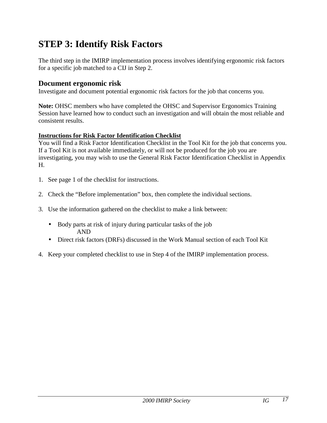## <span id="page-16-0"></span>**STEP 3: Identify Risk Factors**

The third step in the IMIRP implementation process involves identifying ergonomic risk factors for a specific job matched to a CIJ in Step 2.

#### **Document ergonomic risk**

Investigate and document potential ergonomic risk factors for the job that concerns you.

**Note:** OHSC members who have completed the OHSC and Supervisor Ergonomics Training Session have learned how to conduct such an investigation and will obtain the most reliable and consistent results.

#### **Instructions for Risk Factor Identification Checklist**

You will find a Risk Factor Identification Checklist in the Tool Kit for the job that concerns you. If a Tool Kit is not available immediately, or will not be produced for the job you are investigating, you may wish to use the General Risk Factor Identification Checklist in Appendix H.

- 1. See page 1 of the checklist for instructions.
- 2. Check the "Before implementation" box, then complete the individual sections.
- 3. Use the information gathered on the checklist to make a link between:
	- Body parts at risk of injury during particular tasks of the job AND
	- Direct risk factors (DRFs) discussed in the Work Manual section of each Tool Kit
- 4. Keep your completed checklist to use in Step 4 of the IMIRP implementation process.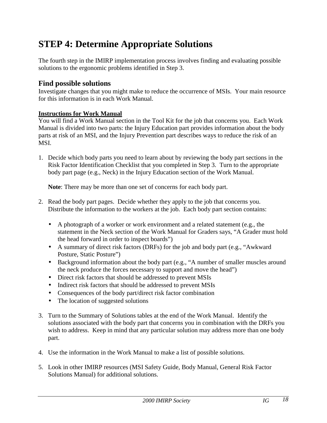## <span id="page-17-0"></span>**STEP 4: Determine Appropriate Solutions**

The fourth step in the IMIRP implementation process involves finding and evaluating possible solutions to the ergonomic problems identified in Step 3.

#### **Find possible solutions**

Investigate changes that you might make to reduce the occurrence of MSIs. Your main resource for this information is in each Work Manual.

#### **Instructions for Work Manual**

You will find a Work Manual section in the Tool Kit for the job that concerns you. Each Work Manual is divided into two parts: the Injury Education part provides information about the body parts at risk of an MSI, and the Injury Prevention part describes ways to reduce the risk of an MSI.

1. Decide which body parts you need to learn about by reviewing the body part sections in the Risk Factor Identification Checklist that you completed in Step 3. Turn to the appropriate body part page (e.g., Neck) in the Injury Education section of the Work Manual.

**Note**: There may be more than one set of concerns for each body part.

- 2. Read the body part pages. Decide whether they apply to the job that concerns you. Distribute the information to the workers at the job. Each body part section contains:
	- A photograph of a worker or work environment and a related statement (e.g., the statement in the Neck section of the Work Manual for Graders says, "A Grader must hold the head forward in order to inspect boards")
	- A summary of direct risk factors (DRFs) for the job and body part (e.g., "Awkward Posture, Static Posture")
	- Background information about the body part (e.g., "A number of smaller muscles around the neck produce the forces necessary to support and move the head")
	- Direct risk factors that should be addressed to prevent MSIs
	- Indirect risk factors that should be addressed to prevent MSIs
	- Consequences of the body part/direct risk factor combination
	- The location of suggested solutions
- 3. Turn to the Summary of Solutions tables at the end of the Work Manual. Identify the solutions associated with the body part that concerns you in combination with the DRFs you wish to address. Keep in mind that any particular solution may address more than one body part.
- 4. Use the information in the Work Manual to make a list of possible solutions.
- 5. Look in other IMIRP resources (MSI Safety Guide, Body Manual, General Risk Factor Solutions Manual) for additional solutions.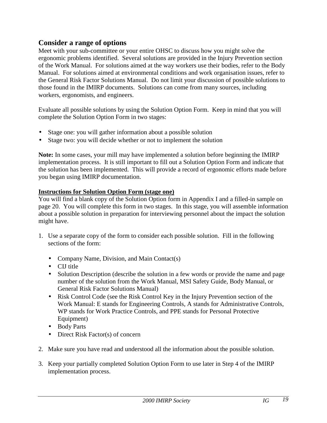#### **Consider a range of options**

Meet with your sub-committee or your entire OHSC to discuss how you might solve the ergonomic problems identified. Several solutions are provided in the Injury Prevention section of the Work Manual. For solutions aimed at the way workers use their bodies, refer to the Body Manual. For solutions aimed at environmental conditions and work organisation issues, refer to the General Risk Factor Solutions Manual. Do not limit your discussion of possible solutions to those found in the IMIRP documents. Solutions can come from many sources, including workers, ergonomists, and engineers.

Evaluate all possible solutions by using the Solution Option Form. Keep in mind that you will complete the Solution Option Form in two stages:

- Stage one: you will gather information about a possible solution
- Stage two: you will decide whether or not to implement the solution

**Note:** In some cases, your mill may have implemented a solution before beginning the IMIRP implementation process. It is still important to fill out a Solution Option Form and indicate that the solution has been implemented. This will provide a record of ergonomic efforts made before you began using IMIRP documentation.

#### **Instructions for Solution Option Form (stage one)**

You will find a blank copy of the Solution Option form in Appendix I and a filled-in sample on page 20. You will complete this form in two stages. In this stage, you will assemble information about a possible solution in preparation for interviewing personnel about the impact the solution might have.

- 1. Use a separate copy of the form to consider each possible solution. Fill in the following sections of the form:
	- Company Name, Division, and Main Contact(s)
	- CIJ title
	- Solution Description (describe the solution in a few words or provide the name and page number of the solution from the Work Manual, MSI Safety Guide, Body Manual, or General Risk Factor Solutions Manual)
	- Risk Control Code (see the Risk Control Key in the Injury Prevention section of the Work Manual: E stands for Engineering Controls, A stands for Administrative Controls, WP stands for Work Practice Controls, and PPE stands for Personal Protective Equipment)
	- Body Parts
	- Direct Risk Factor(s) of concern
- 2. Make sure you have read and understood all the information about the possible solution.
- 3. Keep your partially completed Solution Option Form to use later in Step 4 of the IMIRP implementation process.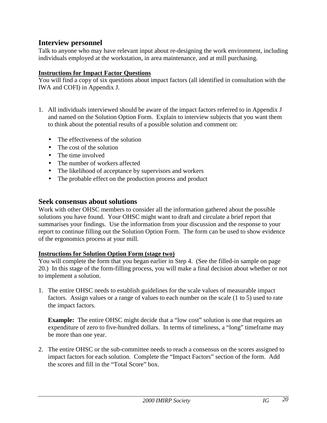#### **Interview personnel**

Talk to anyone who may have relevant input about re-designing the work environment, including individuals employed at the workstation, in area maintenance, and at mill purchasing.

#### **Instructions for Impact Factor Questions**

You will find a copy of six questions about impact factors (all identified in consultation with the IWA and COFI) in Appendix J.

- 1. All individuals interviewed should be aware of the impact factors referred to in Appendix J and named on the Solution Option Form. Explain to interview subjects that you want them to think about the potential results of a possible solution and comment on:
	- The effectiveness of the solution
	- The cost of the solution
	- The time involved
	- The number of workers affected
	- The likelihood of acceptance by supervisors and workers
	- The probable effect on the production process and product

#### **Seek consensus about solutions**

Work with other OHSC members to consider all the information gathered about the possible solutions you have found. Your OHSC might want to draft and circulate a brief report that summarises your findings. Use the information from your discussion and the response to your report to continue filling out the Solution Option Form. The form can be used to show evidence of the ergonomics process at your mill.

#### **Instructions for Solution Option Form (stage two)**

You will complete the form that you began earlier in Step 4. (See the filled-in sample on page 20.) In this stage of the form-filling process, you will make a final decision about whether or not to implement a solution.

1. The entire OHSC needs to establish guidelines for the scale values of measurable impact factors. Assign values or a range of values to each number on the scale (1 to 5) used to rate the impact factors.

**Example:** The entire OHSC might decide that a "low cost" solution is one that requires an expenditure of zero to five-hundred dollars. In terms of timeliness, a "long" timeframe may be more than one year.

2. The entire OHSC or the sub-committee needs to reach a consensus on the scores assigned to impact factors for each solution. Complete the "Impact Factors" section of the form. Add the scores and fill in the "Total Score" box.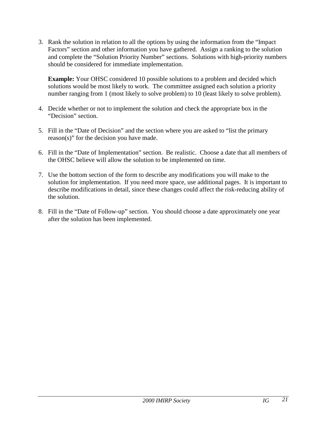3. Rank the solution in relation to all the options by using the information from the "Impact Factors" section and other information you have gathered. Assign a ranking to the solution and complete the "Solution Priority Number" sections. Solutions with high-priority numbers should be considered for immediate implementation.

**Example:** Your OHSC considered 10 possible solutions to a problem and decided which solutions would be most likely to work. The committee assigned each solution a priority number ranging from 1 (most likely to solve problem) to 10 (least likely to solve problem).

- 4. Decide whether or not to implement the solution and check the appropriate box in the "Decision" section.
- 5. Fill in the "Date of Decision" and the section where you are asked to "list the primary reason(s)" for the decision you have made.
- 6. Fill in the "Date of Implementation" section. Be realistic. Choose a date that all members of the OHSC believe will allow the solution to be implemented on time.
- 7. Use the bottom section of the form to describe any modifications you will make to the solution for implementation. If you need more space, use additional pages. It is important to describe modifications in detail, since these changes could affect the risk-reducing ability of the solution.
- 8. Fill in the "Date of Follow-up" section. You should choose a date approximately one year after the solution has been implemented.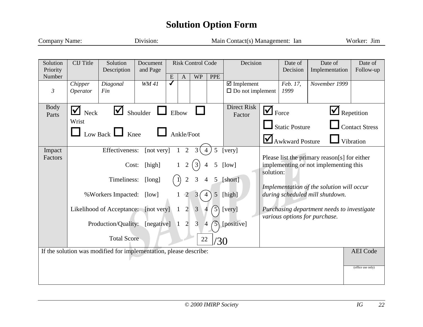## **Solution Option Form**

| <b>Company Name:</b>           |                            |                                                                                                                                                                 | Division:                               |                              |                                                                                                          |                                                                                                               |                                                               | Main Contact(s) Management: Ian                                              |           |                                                          |                                                                                                                                                                                                                                                      | Worker: Jim                                      |
|--------------------------------|----------------------------|-----------------------------------------------------------------------------------------------------------------------------------------------------------------|-----------------------------------------|------------------------------|----------------------------------------------------------------------------------------------------------|---------------------------------------------------------------------------------------------------------------|---------------------------------------------------------------|------------------------------------------------------------------------------|-----------|----------------------------------------------------------|------------------------------------------------------------------------------------------------------------------------------------------------------------------------------------------------------------------------------------------------------|--------------------------------------------------|
|                                |                            |                                                                                                                                                                 |                                         |                              |                                                                                                          |                                                                                                               |                                                               |                                                                              |           |                                                          |                                                                                                                                                                                                                                                      |                                                  |
| Solution<br>Priority<br>Number | <b>CIJ</b> Title           | Solution<br>Description                                                                                                                                         | Document<br>and Page                    | ${\bf E}$                    | $\boldsymbol{A}$                                                                                         | <b>Risk Control Code</b><br><b>WP</b>                                                                         | <b>PPE</b>                                                    | Decision                                                                     |           | Date of<br>Decision                                      | Date of<br>Implementation                                                                                                                                                                                                                            | Date of<br>Follow-up                             |
| $\mathfrak{Z}$                 | Chipper<br><b>Operator</b> | Diagonal<br>Fin                                                                                                                                                 | WM41                                    | $\overline{\bm{J}}$          |                                                                                                          |                                                                                                               |                                                               | $\boxtimes$ Implement<br>$\Box$ Do not implement                             |           | Feb. 17,<br>1999                                         | November 1999                                                                                                                                                                                                                                        |                                                  |
| <b>Body</b><br>Parts           | M<br>Neck<br>Wrist         | $\blacktriangledown$<br>Low Back $\Box$<br>Knee                                                                                                                 | Shoulder                                | Elbow                        |                                                                                                          | Ankle/Foot                                                                                                    |                                                               | Direct Risk<br>Factor                                                        |           | Force<br><b>Static Posture</b><br><b>Awkward Posture</b> |                                                                                                                                                                                                                                                      | Repetition<br><b>Contact Stress</b><br>Vibration |
| Impact<br>Factors              |                            | Effectiveness:<br>Cost:<br>Timeliness:<br>% Workers Impacted:<br>Likelihood of Acceptance: [not very]<br>Production/Quality: [negative] 1<br><b>Total Score</b> | [not very]<br>[high]<br>[long]<br>[low] | $\mathbf{1}$<br>$\mathbf{1}$ | $\overline{2}$<br>$\overline{2}$<br>$\overline{2}$<br>$\overline{2}$<br>$\overline{2}$<br>$\overline{2}$ | 3<br>$\overline{4}$<br>$\overline{3}$<br>$\overline{3}$<br>$\overline{3}$<br>$\overline{\phantom{0}}$ 4<br>22 | 5<br>5 <sup>5</sup><br>5 <sub>1</sub><br>$\mathcal{E}$<br>/30 | [very]<br>[low]<br>[short]<br>5 [high]<br>[very]<br>$\mathcal{F}$ [positive] | solution: |                                                          | Please list the primary reason[s] for either<br>implementing or not implementing this<br>Implementation of the solution will occur<br>during scheduled mill shutdown.<br>Purchasing department needs to investigate<br>various options for purchase. |                                                  |
|                                |                            | If the solution was modified for implementation, please describe:                                                                                               |                                         |                              |                                                                                                          |                                                                                                               |                                                               |                                                                              |           |                                                          |                                                                                                                                                                                                                                                      | <b>AEI</b> Code<br>(office use only)             |
|                                |                            |                                                                                                                                                                 |                                         |                              |                                                                                                          |                                                                                                               |                                                               |                                                                              |           |                                                          |                                                                                                                                                                                                                                                      |                                                  |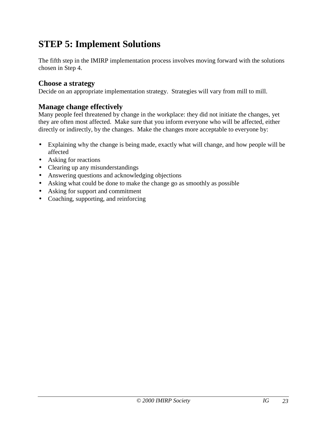## <span id="page-22-0"></span>**STEP 5: Implement Solutions**

The fifth step in the IMIRP implementation process involves moving forward with the solutions chosen in Step 4.

#### **Choose a strategy**

Decide on an appropriate implementation strategy. Strategies will vary from mill to mill.

#### **Manage change effectively**

Many people feel threatened by change in the workplace: they did not initiate the changes, yet they are often most affected. Make sure that you inform everyone who will be affected, either directly or indirectly, by the changes. Make the changes more acceptable to everyone by:

- Explaining why the change is being made, exactly what will change, and how people will be affected
- Asking for reactions
- Clearing up any misunderstandings
- Answering questions and acknowledging objections
- Asking what could be done to make the change go as smoothly as possible
- Asking for support and commitment
- Coaching, supporting, and reinforcing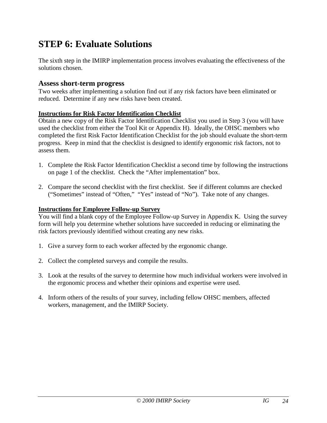## <span id="page-23-0"></span>**STEP 6: Evaluate Solutions**

The sixth step in the IMIRP implementation process involves evaluating the effectiveness of the solutions chosen.

#### **Assess short-term progress**

Two weeks after implementing a solution find out if any risk factors have been eliminated or reduced. Determine if any new risks have been created.

#### **Instructions for Risk Factor Identification Checklist**

Obtain a new copy of the Risk Factor Identification Checklist you used in Step 3 (you will have used the checklist from either the Tool Kit or Appendix H). Ideally, the OHSC members who completed the first Risk Factor Identification Checklist for the job should evaluate the short-term progress. Keep in mind that the checklist is designed to identify ergonomic risk factors, not to assess them.

- 1. Complete the Risk Factor Identification Checklist a second time by following the instructions on page 1 of the checklist. Check the "After implementation" box.
- 2. Compare the second checklist with the first checklist. See if different columns are checked ("Sometimes" instead of "Often," "Yes" instead of "No"). Take note of any changes.

#### **Instructions for Employee Follow-up Survey**

You will find a blank copy of the Employee Follow-up Survey in Appendix K. Using the survey form will help you determine whether solutions have succeeded in reducing or eliminating the risk factors previously identified without creating any new risks.

- 1. Give a survey form to each worker affected by the ergonomic change.
- 2. Collect the completed surveys and compile the results.
- 3. Look at the results of the survey to determine how much individual workers were involved in the ergonomic process and whether their opinions and expertise were used.
- 4. Inform others of the results of your survey, including fellow OHSC members, affected workers, management, and the IMIRP Society.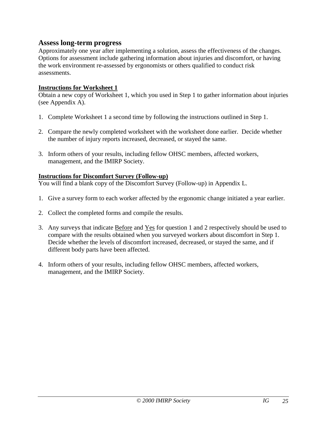#### **Assess long-term progress**

Approximately one year after implementing a solution, assess the effectiveness of the changes. Options for assessment include gathering information about injuries and discomfort, or having the work environment re-assessed by ergonomists or others qualified to conduct risk assessments.

#### **Instructions for Worksheet 1**

Obtain a new copy of Worksheet 1, which you used in Step 1 to gather information about injuries (see Appendix A).

- 1. Complete Worksheet 1 a second time by following the instructions outlined in Step 1.
- 2. Compare the newly completed worksheet with the worksheet done earlier. Decide whether the number of injury reports increased, decreased, or stayed the same.
- 3. Inform others of your results, including fellow OHSC members, affected workers, management, and the IMIRP Society.

#### **Instructions for Discomfort Survey (Follow-up)**

You will find a blank copy of the Discomfort Survey (Follow-up) in Appendix L.

- 1. Give a survey form to each worker affected by the ergonomic change initiated a year earlier.
- 2. Collect the completed forms and compile the results.
- 3. Any surveys that indicate Before and Yes for question 1 and 2 respectively should be used to compare with the results obtained when you surveyed workers about discomfort in Step 1. Decide whether the levels of discomfort increased, decreased, or stayed the same, and if different body parts have been affected.
- 4. Inform others of your results, including fellow OHSC members, affected workers, management, and the IMIRP Society.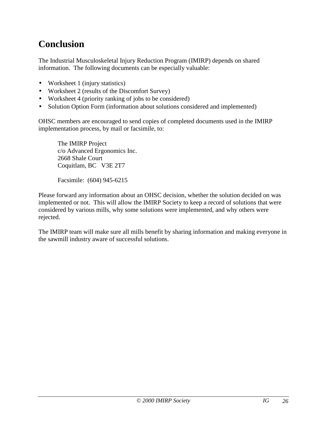## <span id="page-25-0"></span>**Conclusion**

The Industrial Musculoskeletal Injury Reduction Program (IMIRP) depends on shared information. The following documents can be especially valuable:

- Worksheet 1 (injury statistics)
- Worksheet 2 (results of the Discomfort Survey)
- Worksheet 4 (priority ranking of jobs to be considered)
- Solution Option Form (information about solutions considered and implemented)

OHSC members are encouraged to send copies of completed documents used in the IMIRP implementation process, by mail or facsimile, to:

The IMIRP Project c/o Advanced Ergonomics Inc. 2668 Shale Court Coquitlam, BC V3E 2T7

Facsimile: (604) 945-6215

Please forward any information about an OHSC decision, whether the solution decided on was implemented or not. This will allow the IMIRP Society to keep a record of solutions that were considered by various mills, why some solutions were implemented, and why others were rejected.

The IMIRP team will make sure all mills benefit by sharing information and making everyone in the sawmill industry aware of successful solutions.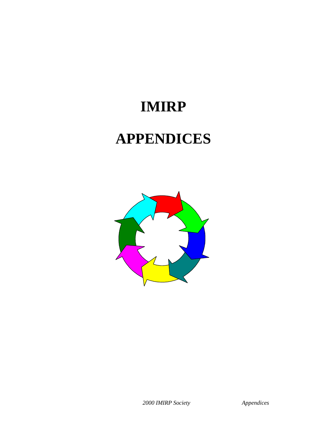# **IMIRP APPENDICES**

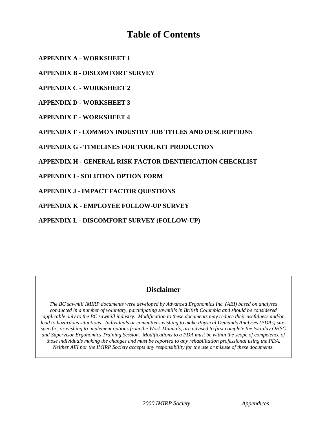## **Table of Contents**

**[APPENDIX A - WORKSHEET 1](#page-28-0)**

**[APPENDIX B - DISCOMFORT SURVEY](#page-29-0)**

**[APPENDIX C - WORKSHEET 2](#page-33-0)**

**[APPENDIX D - WORKSHEET 3](#page-34-0)**

**[APPENDIX E - WORKSHEET 4](#page-35-0)**

**[APPENDIX F - COMMON INDUSTRY JOB TITLES AND DESCRIPTIONS](#page-36-0)**

**[APPENDIX G - TIMELINES FOR TOOL KIT PRODUCTION](#page-39-0)**

**[APPENDIX H - GENERAL RISK FACTOR IDENTIFICATION CHECKLIST](#page-49-0)**

**[APPENDIX I - SOLUTION OPTION FORM](#page-66-0)**

**[APPENDIX J - IMPACT FACTOR QUESTIONS](#page-67-0)**

**[APPENDIX K - EMPLOYEE FOLLOW-UP SURVEY](#page-68-0)**

**[APPENDIX L - DISCOMFORT SURVEY \(FOLLOW-UP\)](#page-70-0)**

#### **Disclaimer**

*The BC sawmill IMIRP documents were developed by Advanced Ergonomics Inc. (AEI) based on analyses conducted in a number of voluntary, participating sawmills in British Columbia and should be considered applicable only to the BC sawmill industry. Modification to these documents may reduce their usefulness and/or lead to hazardous situations. Individuals or committees wishing to make Physical Demands Analyses (PDAs) sitespecific, or wishing to implement options from the Work Manuals, are advised to first complete the two-day OHSC and Supervisor Ergonomics Training Session. Modifications to a PDA must be within the scope of competence of those individuals making the changes and must be reported to any rehabilitation professional using the PDA. Neither AEI nor the IMIRP Society accepts any responsibility for the use or misuse of these documents.*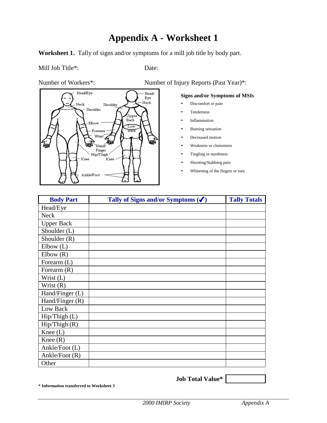## **Appendix A - Worksheet 1**

<span id="page-28-0"></span>Worksheet 1. Tally of signs and/or symptoms for a mill job title by body part.

#### Mill Job Title\*: Date:



Number of Workers\*: Number of Injury Reports (Past Year)\*:

#### **Signs and/or Symptoms of MSIs**

- Discomfort or pain
- Tenderness
- Inflammation
- Burning sensation
- Decreased motion
- Weakness or clumsiness
- Tingling or numbness
- Shooting/Stabbing pain
- Whitening of the fingers or toes

| <b>Body Part</b>  | Tally of Signs and/or Symptoms $(\checkmark)$ | <b>Tally Totals</b> |
|-------------------|-----------------------------------------------|---------------------|
| Head/Eye          |                                               |                     |
| <b>Neck</b>       |                                               |                     |
| <b>Upper Back</b> |                                               |                     |
| Shoulder (L)      |                                               |                     |
| Shoulder (R)      |                                               |                     |
| Elbow(L)          |                                               |                     |
| Elbow(R)          |                                               |                     |
| Forearm (L)       |                                               |                     |
| Forearm $(R)$     |                                               |                     |
| Wrist (L)         |                                               |                     |
| Wrist $(R)$       |                                               |                     |
| Hand/Finger (L)   |                                               |                     |
| Hand/Finger (R)   |                                               |                     |
| Low Back          |                                               |                     |
| Hip/Thigh(L)      |                                               |                     |
| Hip/Thigh(R)      |                                               |                     |
| Knee $(L)$        |                                               |                     |
| Knee $(R)$        |                                               |                     |
| Ankle/Foot (L)    |                                               |                     |
| Ankle/Foot (R)    |                                               |                     |
| Other             |                                               |                     |

**\* Information transferred to Worksheet 3**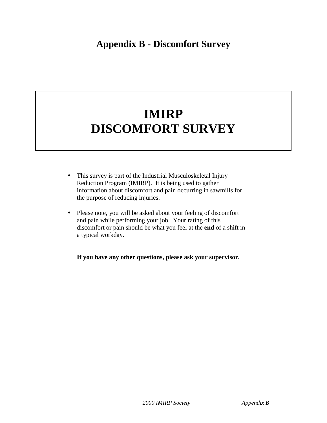## <span id="page-29-0"></span>**Appendix B - Discomfort Survey**

## **IMIRP DISCOMFORT SURVEY**

- This survey is part of the Industrial Musculoskeletal Injury Reduction Program (IMIRP). It is being used to gather information about discomfort and pain occurring in sawmills for the purpose of reducing injuries.
- Please note, you will be asked about your feeling of discomfort and pain while performing your job. Your rating of this discomfort or pain should be what you feel at the **end** of a shift in a typical workday.

**If you have any other questions, please ask your supervisor.**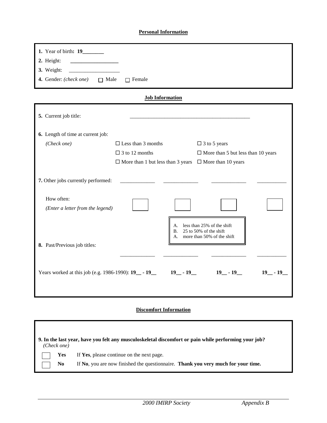#### **Personal Information**

| 1. Year of birth: 19_______<br>2. Height:<br>3. Weight:<br>4. Gender: (check one) $\Box$ Male | $\Box$ Female                                                      |                                                                                       |
|-----------------------------------------------------------------------------------------------|--------------------------------------------------------------------|---------------------------------------------------------------------------------------|
|                                                                                               | <b>Job Information</b>                                             |                                                                                       |
|                                                                                               |                                                                    |                                                                                       |
| 5. Current job title:                                                                         |                                                                    |                                                                                       |
|                                                                                               |                                                                    |                                                                                       |
| 6. Length of time at current job:                                                             |                                                                    |                                                                                       |
| (Check one)                                                                                   | $\Box$ Less than 3 months                                          | $\Box$ 3 to 5 years                                                                   |
|                                                                                               | $\Box$ 3 to 12 months                                              | $\Box$ More than 5 but less than 10 years                                             |
|                                                                                               | $\Box$ More than 1 but less than 3 years $\Box$ More than 10 years |                                                                                       |
| 7. Other jobs currently performed:                                                            |                                                                    |                                                                                       |
| How often:<br>(Enter a letter from the legend)                                                |                                                                    |                                                                                       |
|                                                                                               | B.<br>А.                                                           | A. less than 25% of the shift<br>25 to 50% of the shift<br>more than 50% of the shift |
| 8. Past/Previous job titles:                                                                  |                                                                    |                                                                                       |
| Years worked at this job (e.g. 1986-1990): 19 __ - 19 __ - 19 __ - 19 __ - 19 __ - 19 __ - 19 |                                                                    | $19 - 19$                                                                             |

#### **Discomfort Information**

| (Check one)           | 9. In the last year, have you felt any musculoskeletal discomfort or pain while performing your job?                           |
|-----------------------|--------------------------------------------------------------------------------------------------------------------------------|
| Yes<br>N <sub>0</sub> | If Yes, please continue on the next page.<br>If No, you are now finished the questionnaire. Thank you very much for your time. |
|                       |                                                                                                                                |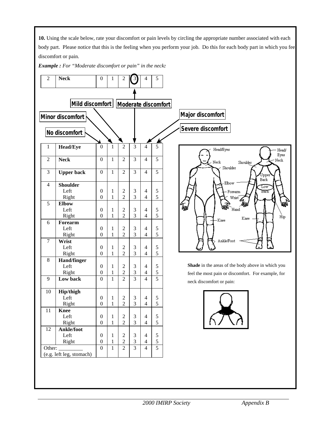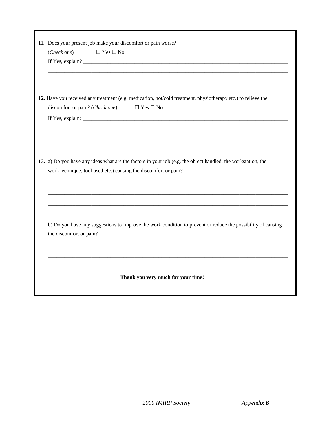| 11. Does your present job make your discomfort or pain worse?<br>(Check one)<br>$\Box$ Yes $\Box$ No         |
|--------------------------------------------------------------------------------------------------------------|
|                                                                                                              |
|                                                                                                              |
| 12. Have you received any treatment (e.g. medication, hot/cold treatment, physiotherapy etc.) to relieve the |
| discomfort or pain? (Check one)<br>$\Box$ Yes $\Box$ No                                                      |
|                                                                                                              |
|                                                                                                              |
|                                                                                                              |
|                                                                                                              |
| 13. a) Do you have any ideas what are the factors in your job (e.g. the object handled, the workstation, the |
| work technique, tool used etc.) causing the discomfort or pain?                                              |
|                                                                                                              |
|                                                                                                              |
|                                                                                                              |
|                                                                                                              |
|                                                                                                              |
| b) Do you have any suggestions to improve the work condition to prevent or reduce the possibility of causing |
|                                                                                                              |
|                                                                                                              |
|                                                                                                              |
|                                                                                                              |
| Thank you very much for your time!                                                                           |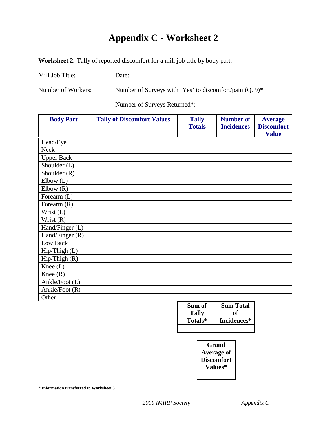## **Appendix C - Worksheet 2**

<span id="page-33-0"></span>**Worksheet 2.** Tally of reported discomfort for a mill job title by body part.

Mill Job Title: Date:

Number of Workers: Number of Surveys with 'Yes' to discomfort/pain (Q. 9)\*:

Number of Surveys Returned\*:

| <b>Body Part</b>     | <b>Tally of Discomfort Values</b> | <b>Tally</b><br><b>Totals</b>     | <b>Number of</b><br><b>Incidences</b> | <b>Average</b><br><b>Discomfort</b><br><b>Value</b> |
|----------------------|-----------------------------------|-----------------------------------|---------------------------------------|-----------------------------------------------------|
| Head/Eye             |                                   |                                   |                                       |                                                     |
| <b>Neck</b>          |                                   |                                   |                                       |                                                     |
| <b>Upper Back</b>    |                                   |                                   |                                       |                                                     |
| Shoulder (L)         |                                   |                                   |                                       |                                                     |
| Shoulder $(R)$       |                                   |                                   |                                       |                                                     |
| Elbow(L)             |                                   |                                   |                                       |                                                     |
| Elbow(R)             |                                   |                                   |                                       |                                                     |
| Forearm (L)          |                                   |                                   |                                       |                                                     |
| Forearm $(R)$        |                                   |                                   |                                       |                                                     |
| Wrist <sub>(L)</sub> |                                   |                                   |                                       |                                                     |
| Wrist $(R)$          |                                   |                                   |                                       |                                                     |
| Hand/Finger (L)      |                                   |                                   |                                       |                                                     |
| Hand/Finger (R)      |                                   |                                   |                                       |                                                     |
| Low Back             |                                   |                                   |                                       |                                                     |
| Hip/Thigh (L)        |                                   |                                   |                                       |                                                     |
| Hip/Thigh $(R)$      |                                   |                                   |                                       |                                                     |
| Knee $(L)$           |                                   |                                   |                                       |                                                     |
| Knee $(R)$           |                                   |                                   |                                       |                                                     |
| Ankle/Foot (L)       |                                   |                                   |                                       |                                                     |
| Ankle/Foot (R)       |                                   |                                   |                                       |                                                     |
| Other                |                                   |                                   |                                       |                                                     |
|                      |                                   | Sum of<br><b>Tally</b><br>Totals* | <b>Sum Total</b><br>of<br>Incidences* |                                                     |
|                      |                                   |                                   |                                       |                                                     |

**Grand Average of Discomfort Values\***

**\* Information transferred to Worksheet 3**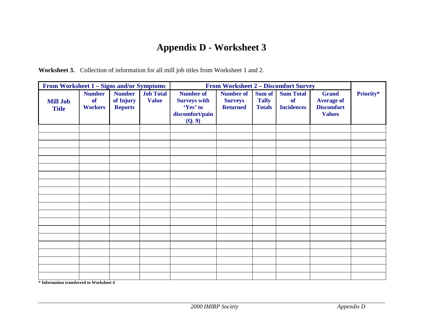## **Appendix D - Worksheet 3**

**Worksheet 3.** Collection of information for all mill job titles from Worksheet 1 and 2.

| <b>From Worksheet 1 – Signs and/or Symptoms</b> |                                       |                                              | <b>From Worksheet 2 – Discomfort Survey</b> |                                                                                  |                                                       |                                         |                                                    |                                                                         |           |
|-------------------------------------------------|---------------------------------------|----------------------------------------------|---------------------------------------------|----------------------------------------------------------------------------------|-------------------------------------------------------|-----------------------------------------|----------------------------------------------------|-------------------------------------------------------------------------|-----------|
| <b>Mill Job</b><br><b>Title</b>                 | <b>Number</b><br>of<br><b>Workers</b> | <b>Number</b><br>of Injury<br><b>Reports</b> | <b>Job Total</b><br><b>Value</b>            | <b>Number of</b><br><b>Surveys with</b><br>'Yes' to<br>discomfort/pain<br>(Q, 9) | <b>Number of</b><br><b>Surveys</b><br><b>Returned</b> | Sum of<br><b>Tally</b><br><b>Totals</b> | <b>Sum Total</b><br><b>of</b><br><b>Incidences</b> | <b>Grand</b><br><b>Average of</b><br><b>Discomfort</b><br><b>Values</b> | Priority* |
|                                                 |                                       |                                              |                                             |                                                                                  |                                                       |                                         |                                                    |                                                                         |           |
|                                                 |                                       |                                              |                                             |                                                                                  |                                                       |                                         |                                                    |                                                                         |           |
|                                                 |                                       |                                              |                                             |                                                                                  |                                                       |                                         |                                                    |                                                                         |           |
|                                                 |                                       |                                              |                                             |                                                                                  |                                                       |                                         |                                                    |                                                                         |           |
|                                                 |                                       |                                              |                                             |                                                                                  |                                                       |                                         |                                                    |                                                                         |           |
|                                                 |                                       |                                              |                                             |                                                                                  |                                                       |                                         |                                                    |                                                                         |           |
|                                                 |                                       |                                              |                                             |                                                                                  |                                                       |                                         |                                                    |                                                                         |           |
|                                                 |                                       |                                              |                                             |                                                                                  |                                                       |                                         |                                                    |                                                                         |           |
|                                                 |                                       |                                              |                                             |                                                                                  |                                                       |                                         |                                                    |                                                                         |           |
|                                                 |                                       |                                              |                                             |                                                                                  |                                                       |                                         |                                                    |                                                                         |           |
|                                                 |                                       |                                              |                                             |                                                                                  |                                                       |                                         |                                                    |                                                                         |           |
|                                                 |                                       |                                              |                                             |                                                                                  |                                                       |                                         |                                                    |                                                                         |           |
|                                                 |                                       |                                              |                                             |                                                                                  |                                                       |                                         |                                                    |                                                                         |           |
|                                                 |                                       |                                              |                                             |                                                                                  |                                                       |                                         |                                                    |                                                                         |           |
|                                                 |                                       |                                              |                                             |                                                                                  |                                                       |                                         |                                                    |                                                                         |           |
|                                                 |                                       |                                              |                                             |                                                                                  |                                                       |                                         |                                                    |                                                                         |           |
|                                                 |                                       |                                              |                                             |                                                                                  |                                                       |                                         |                                                    |                                                                         |           |
|                                                 |                                       |                                              |                                             |                                                                                  |                                                       |                                         |                                                    |                                                                         |           |
|                                                 |                                       |                                              |                                             |                                                                                  |                                                       |                                         |                                                    |                                                                         |           |
|                                                 |                                       |                                              |                                             |                                                                                  |                                                       |                                         |                                                    |                                                                         |           |

<span id="page-34-0"></span>**\* Information transferred to Worksheet 4**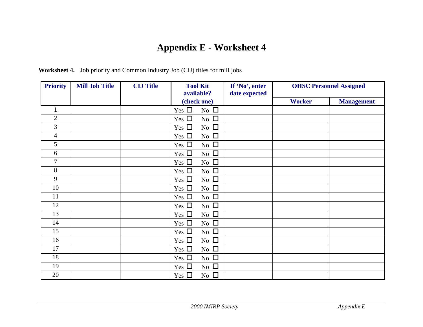## **Appendix E - Worksheet 4**

<span id="page-35-0"></span>

| <b>Priority</b> | <b>Mill Job Title</b> | <b>CIJ Title</b> | <b>Tool Kit</b><br>available? | If 'No', enter<br>date expected |               | <b>OHSC Personnel Assigned</b> |
|-----------------|-----------------------|------------------|-------------------------------|---------------------------------|---------------|--------------------------------|
|                 |                       |                  | (check one)                   |                                 | <b>Worker</b> | <b>Management</b>              |
| 1               |                       |                  | No $\Box$<br>Yes $\Box$       |                                 |               |                                |
| $\overline{2}$  |                       |                  | No $\Box$<br>Yes $\Box$       |                                 |               |                                |
| $\overline{3}$  |                       |                  | No $\Box$<br>Yes $\Box$       |                                 |               |                                |
| 4               |                       |                  | No $\square$<br>Yes $\square$ |                                 |               |                                |
| 5               |                       |                  | Yes $\square$<br>No $\square$ |                                 |               |                                |
| 6               |                       |                  | Yes $\square$<br>No $\Box$    |                                 |               |                                |
| $\overline{7}$  |                       |                  | No $\Box$<br>Yes $\Box$       |                                 |               |                                |
| 8               |                       |                  | Yes $\square$<br>No $\square$ |                                 |               |                                |
| 9               |                       |                  | No $\square$<br>Yes $\square$ |                                 |               |                                |
| 10              |                       |                  | No $\Box$<br>Yes $\square$    |                                 |               |                                |
| 11              |                       |                  | No $\square$<br>Yes $\square$ |                                 |               |                                |
| 12              |                       |                  | No $\Box$<br>Yes $\Box$       |                                 |               |                                |
| 13              |                       |                  | No $\Box$<br>Yes $\Box$       |                                 |               |                                |
| 14              |                       |                  | No $\square$<br>Yes $\Box$    |                                 |               |                                |
| 15              |                       |                  | No $\square$<br>Yes $\square$ |                                 |               |                                |
| 16              |                       |                  | No $\square$<br>Yes $\Box$    |                                 |               |                                |
| 17              |                       |                  | No $\Box$<br>Yes $\Box$       |                                 |               |                                |
| 18              |                       |                  | No $\Box$<br>Yes $\Box$       |                                 |               |                                |
| 19              |                       |                  | No $\square$<br>Yes $\Box$    |                                 |               |                                |
| 20              |                       |                  | No $\Box$<br>Yes $\square$    |                                 |               |                                |

**Worksheet 4.** Job priority and Common Industry Job (CIJ) titles for mill jobs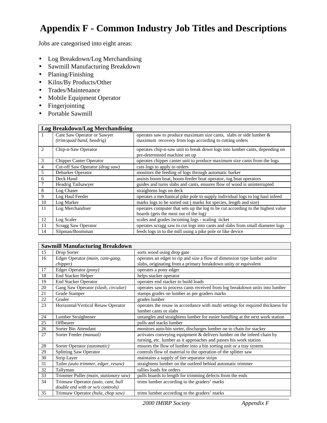# **Appendix F - Common Industry Job Titles and Descriptions**

Jobs are categorised into eight areas:

- Log Breakdown/Log Merchandising
- Sawmill Manufacturing Breakdown
- Planing/Finishing
- Kilns/By Products/Other
- Trades/Maintenance
- Mobile Equipment Operator
- Fingerjointing
- Portable Sawmill

|              | <b>Log Breakdown/Log Merchandising</b> |                                                                                 |  |  |
|--------------|----------------------------------------|---------------------------------------------------------------------------------|--|--|
| $\mathbf{I}$ | Cant Saw Operator or Sawyer            | operates saw to produce maximum size cants, slabs or side lumber $\&$           |  |  |
|              | (trim/quad band, headrig)              | maximum recovery from logs according to cutting orders                          |  |  |
| 2            | Chip-n-Saw Operator                    | operates chip-n-saw unit to break down logs into lumber cants, depending on     |  |  |
|              |                                        | pre-determined machine set up                                                   |  |  |
| 3            | Chipper Canter Operator                | operates chipper canter unit to produce maximum size cants from the logs        |  |  |
| 4            | Cut-off Saw Operator (drag saw)        | cuts logs to apply to orders                                                    |  |  |
| 5            | Debarker Operator                      | monitors the feeding of logs through automatic barker                           |  |  |
| 6            | Deck Hand                              | assists boom boat, boom feeder boat operator, tug boat operators                |  |  |
| 7            | Headrig Tailsawyer                     | guides and turns slabs and cants, ensures flow of wood is uninterrupted         |  |  |
| 8            | Log Chaser                             | straightens logs on deck                                                        |  |  |
| 9            | Log Haul Feeder                        | operates a mechanical pike pole to supply individual logs to log haul infeed    |  |  |
| 10           | Log Marker                             | marks logs to be sorted out (marks for species, length and size)                |  |  |
| 11           | Log Merchandiser                       | operates computer that sets up the log to be cut according to the highest value |  |  |
|              |                                        | boards (gets the most out of the log)                                           |  |  |
| 12           | Log Scaler                             | scales and grades incoming logs - scaling ticket                                |  |  |
| 13           | Scragg Saw Operator                    | operates scragg saw to cut logs into cants and slabs from small diameter logs   |  |  |
| 14           | Slipman/Boomman                        | feeds logs in to the mill using a pike pole or like device                      |  |  |

|    | <b>Sawmill Manufacturing Breakdown</b>                                 |                                                                                                                                             |  |  |
|----|------------------------------------------------------------------------|---------------------------------------------------------------------------------------------------------------------------------------------|--|--|
| 15 | Drop Sorter                                                            | sorts wood using drop gate                                                                                                                  |  |  |
| 16 | Edger Operator (main, cant-gang,<br><i>chipper</i> )                   | operates an edger to rip and size a flow of dimension type lumber and/or<br>slabs, originating from a primary breakdown unity or equivalent |  |  |
| 17 | Edger Operator (pony)                                                  | operates a pony edger                                                                                                                       |  |  |
| 18 | End Stacker Helper                                                     | helps stacker operator                                                                                                                      |  |  |
| 19 | <b>End Stacker Operator</b>                                            | operates end stacker to build loads                                                                                                         |  |  |
| 20 | Gang Saw Operator (slash, circular)                                    | operates saw to process cants received from log breakdown units into lumber                                                                 |  |  |
| 21 | Grade Stamper                                                          | stamps grades on lumber as per graders marks                                                                                                |  |  |
| 22 | Grader                                                                 | grades lumber                                                                                                                               |  |  |
| 23 | Horizontal/Vertical Resaw Operator                                     | operates the resaw in accordance with multi settings for required thickness for<br>lumber cants or slabs                                    |  |  |
| 24 | Lumber Straightener                                                    | untangles and straightens lumber for easier handling at the next work station                                                               |  |  |
| 25 | Offbearer                                                              | pulls and stacks lumber                                                                                                                     |  |  |
| 26 | Sorter Bin Attendant                                                   | monitors auto-bin sorter, discharges lumber on to chain for stacker                                                                         |  |  |
| 27 | Sorter Feeder (manual)                                                 | activates conveying equipment & delivers lumber on the infeed chain by<br>turning, etc. lumber as it approaches and passes his work station |  |  |
| 28 | Sorter Operator (automatic)                                            | ensures the flow of lumber into a bin sorting unit or a tray system                                                                         |  |  |
| 29 | <b>Splitting Saw Operator</b>                                          | controls flow of material to the operation of the splitter saw                                                                              |  |  |
| 30 | Strip Layer                                                            | maintains a supply of tier separator strips                                                                                                 |  |  |
| 31 | Tailer (auto trimmer, edger, resaw)                                    | straightens lumber on the outfeed behind automatic trimmer                                                                                  |  |  |
| 32 | Tallyman                                                               | tallies loads for orders                                                                                                                    |  |  |
| 33 | Trimmer Puller (main, stationary saw)                                  | pulls boards to length for trimming defects from the ends                                                                                   |  |  |
| 34 | Trimsaw Operator (auto, cant, bull<br>double end with or w/o controls) | trims lumber according to the graders' marks                                                                                                |  |  |
| 35 | Trimsaw Operator (hula, chop saw)                                      | trims lumber according to the graders' marks                                                                                                |  |  |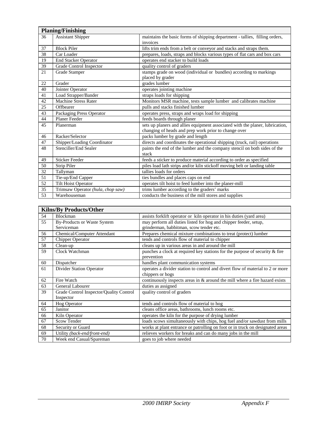|    | <b>Planing/Finishing</b>          |                                                                               |  |
|----|-----------------------------------|-------------------------------------------------------------------------------|--|
| 36 | <b>Assistant Shipper</b>          | maintains the basic forms of shipping department - tallies, filling orders,   |  |
|    |                                   | invoices                                                                      |  |
| 37 | <b>Block Piler</b>                | lifts trim ends from a belt or conveyor and stacks and straps them.           |  |
| 38 | Car Loader                        | prepares, loads, straps and blocks various types of flat cars and box cars    |  |
| 19 | <b>End Stacker Operator</b>       | operates end stacker to build loads                                           |  |
| 39 | Grade Control Inspector           | quality control of graders                                                    |  |
| 21 | Grade Stamper                     | stamps grade on wood (individual or bundles) according to markings            |  |
|    |                                   | placed by grader                                                              |  |
| 22 | Grader                            | grades lumber                                                                 |  |
| 40 | Jointer Operator                  | operates jointing machine                                                     |  |
| 41 | Load Strapper/Bander              | straps loads for shipping                                                     |  |
| 42 | Machine Stress Rater              | Monitors MSR machine, tests sample lumber and calibrates machine              |  |
| 25 | Offbearer                         | pulls and stacks finished lumber                                              |  |
| 43 | Packaging Press Operator          | operates press, straps and wraps load for shipping                            |  |
| 44 | Planer Feeder                     | feeds boards through planer                                                   |  |
| 45 | Planerman                         | sets up planers and allies equipment associated with the planer, lubrication, |  |
|    |                                   | changing of heads and prep work prior to change over                          |  |
| 46 | Racker/Selector                   | packs lumber by grade and length                                              |  |
| 47 | Shipper/Loading Coordinator       | directs and coordinates the operational shipping (truck, rail) operations     |  |
| 48 | Stenciller/End Sealer             | paints the end of the lumber and the company stencil on both sides of the     |  |
|    |                                   | stack                                                                         |  |
| 49 | <b>Sticker Feeder</b>             | feeds a sticker to produce material according to order as specified           |  |
| 50 | Strip Piler                       | piles load lath strips and/or kiln stickoff moving belt or landing table      |  |
| 32 | Tallyman                          | tallies loads for orders                                                      |  |
| 51 | Tie-up/End Capper                 | ties bundles and places caps on end                                           |  |
| 52 | <b>Tilt Hoist Operator</b>        | operates tilt hoist to feed lumber into the planer-mill                       |  |
| 35 | Trimsaw Operator (hula, chop saw) | trims lumber according to the graders' marks                                  |  |
| 53 | Warehouseman                      | conducts the business of the mill stores and supplies                         |  |

|    | <b>Kilns/By Products/Other</b>          |                                                                                                    |
|----|-----------------------------------------|----------------------------------------------------------------------------------------------------|
| 54 | <b>Blockman</b>                         | assists for klift operator or kiln operator in his duties (yard area)                              |
| 55 | <b>By-Products or Waste System</b>      | may perform all duties listed for hog and chipper feeder, setup,                                   |
|    | Serviceman                              | grinderman, babbitman, scow tender etc.                                                            |
| 56 | Chemical/Computer Attendant             | Prepares chemical mixture combinations to treat (protect) lumber                                   |
| 57 | Chipper Operator                        | tends and controls flow of material to chipper                                                     |
| 58 | Clean-up                                | cleans up in various areas in and around the mill                                                  |
| 59 | Clock Watchman                          | punches a clock at required key stations for the purpose of security & fire<br>prevention          |
| 60 | Dispatcher                              | handles plant communication systems                                                                |
| 61 | Divider Station Operator                | operates a divider station to control and divert flow of material to 2 or more<br>chippers or hogs |
| 62 | Fire Watch                              | continuously inspects areas in $&$ around the mill where a fire hazard exists                      |
| 63 | General Labourer                        | duties as assigned                                                                                 |
| 39 | Grade Control Inspector/Quality Control | quality control of graders                                                                         |
|    | Inspector                               |                                                                                                    |
| 64 | <b>Hog Operator</b>                     | tends and controls flow of material to hog                                                         |
| 65 | Janitor                                 | cleans office areas, bathrooms, lunch rooms etc.                                                   |
| 66 | Kiln Operator                           | operates the kiln for the purpose of drying lumber                                                 |
| 67 | <b>Scow Tender</b>                      | loads scows simultaneously with chips, hog fuel and/or sawdust from mills                          |
| 68 | Security or Guard                       | works at plant entrance or patrolling on foot or in truck on designated areas                      |
| 69 | Utility (back-end/front-end)            | relieves workers for breaks and can do many jobs in the mill                                       |
| 70 | Week end Casual/Spareman                | goes to job where needed                                                                           |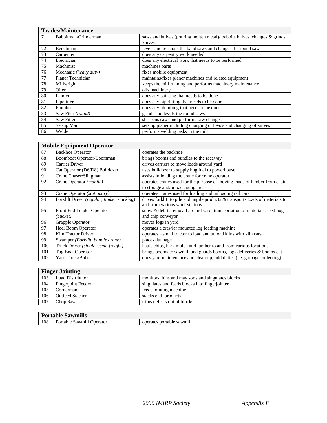|    | <b>Trades/Maintenance</b>                                                                        |                                                                   |  |  |
|----|--------------------------------------------------------------------------------------------------|-------------------------------------------------------------------|--|--|
| 71 | Babbitman/Grinderman<br>saws and knives (pouring molten metal)/ babbits knives, changes & grinds |                                                                   |  |  |
|    |                                                                                                  | knives                                                            |  |  |
| 72 | Benchman                                                                                         | levels and tensions the band saws and changes the round saws      |  |  |
| 73 | Carpenter                                                                                        | does any carpentry work needed                                    |  |  |
| 74 | Electrician                                                                                      | does any electrical work that needs to be performed               |  |  |
| 75 | Machinist                                                                                        | machines parts                                                    |  |  |
| 76 | Mechanic (heavy duty)                                                                            | fixes mobile equipment                                            |  |  |
| 77 | Planer Technician                                                                                | maintains/fixes planer machines and related equipment             |  |  |
| 78 | Millwright                                                                                       | keeps the mill running and performs machinery maintenance         |  |  |
| 79 | Oiler                                                                                            | oils machinery                                                    |  |  |
| 80 | Painter                                                                                          | does any painting that needs to be done                           |  |  |
| 81 | Pipefitter                                                                                       | does any pipefitting that needs to be done                        |  |  |
| 82 | Plumber                                                                                          | does any plumbing that needs to be done                           |  |  |
| 83 | Saw Filer (round)                                                                                | grinds and levels the round saws                                  |  |  |
| 84 | <b>Saw Fitter</b>                                                                                | sharpens saws and performs saw changes                            |  |  |
| 85 | Set-up Man                                                                                       | sets up planer including changing of heads and changing of knives |  |  |
| 86 | Welder                                                                                           | performs welding tasks in the mill                                |  |  |

| <b>Mobile Equipment Operator</b> |                                            |                                                                                |  |
|----------------------------------|--------------------------------------------|--------------------------------------------------------------------------------|--|
| 87                               | <b>Backhoe Operator</b>                    | operates the backhoe                                                           |  |
| 88                               | Boomboat Operator/Boomman                  | brings booms and bundles to the raceway                                        |  |
| 89                               | Carrier Driver                             | drives carriers to move loads around yard                                      |  |
| 90                               | Cat Operator (D6/D8) Bulldozer             | uses bulldozer to supply hog fuel to powerhouse                                |  |
| 91                               | Crane Chaser/Slingman                      | assists in loading the crane for crane operator                                |  |
| 92                               | Crane Operator ( <i>mobile</i> )           | operates cranes used for the purpose of moving loads of lumber from chain      |  |
|                                  |                                            | to storage and/or packaging areas                                              |  |
| 93                               | Crane Operator (stationary)                | operates cranes used for loading and unloading rail cars                       |  |
| 94                               | Forklift Driver (regular, timber stacking) | drives forklift to pile and unpile products & transports loads of materials to |  |
|                                  |                                            | and from various work stations                                                 |  |
| 95                               | Front End Loader Operator                  | snow & debris removal around yard, transportation of materials, feed hog       |  |
|                                  | (bucker)                                   | and chip conveyor                                                              |  |
| 96                               | Grapple Operator                           | moves logs in yard                                                             |  |
| 97                               | <b>Heel Boom Operator</b>                  | operates a crawler mounted log loading machine                                 |  |
| 98                               | Kiln Tractor Driver                        | operates a small tractor to load and unload kilns with kiln cars               |  |
| 99                               | Swamper (Forklift, bundle crane)           | places dunnage                                                                 |  |
| 100                              | Truck Driver (single, semi, freight)       | hauls chips, bark mulch and lumber to and from various locations               |  |
| 101                              | Tug Boat Operator                          | brings booms to sawmill and guards booms, logs deliveries & booms cut          |  |
| 102                              | Yard Truck/Bobcat                          | does yard maintenance and clean-up, odd duties (i.e. garbage collecting)       |  |

|     | <b>Finger Jointing</b>    |                                                   |  |  |
|-----|---------------------------|---------------------------------------------------|--|--|
| 103 | <b>Load Distributor</b>   | monitors bins and may sorts and singulates blocks |  |  |
| 104 | <b>Fingerjoint Feeder</b> | singulates and feeds blocks into fingerjointer    |  |  |
| 105 | Cornerman                 | feeds jointing machine                            |  |  |
| 106 | <b>Outfeed Stacker</b>    | stacks end products                               |  |  |
| 107 | Chop Saw                  | trims defects out of blocks                       |  |  |

| $\sim$<br>$-21$<br>Portable<br>Sawmills |                                             |                                                    |
|-----------------------------------------|---------------------------------------------|----------------------------------------------------|
| 108                                     | $\cdots$<br>Sawmill<br>Jperator<br>Portable | $\cdot$ $\cdot$<br>portable<br>sawmil.<br>operates |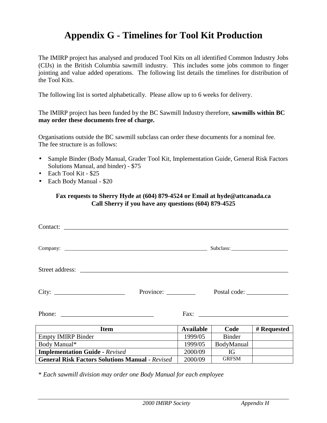## **Appendix G - Timelines for Tool Kit Production**

The IMIRP project has analysed and produced Tool Kits on all identified Common Industry Jobs (CIJs) in the British Columbia sawmill industry. This includes some jobs common to finger jointing and value added operations. The following list details the timelines for distribution of the Tool Kits.

The following list is sorted alphabetically. Please allow up to 6 weeks for delivery.

The IMIRP project has been funded by the BC Sawmill Industry therefore, **sawmills within BC may order these documents free of charge.**

Organisations outside the BC sawmill subclass can order these documents for a nominal fee. The fee structure is as follows:

- Sample Binder (Body Manual, Grader Tool Kit, Implementation Guide, General Risk Factors Solutions Manual, and binder) - \$75
- Each Tool Kit \$25
- Each Body Manual \$20

#### **Fax requests to Sherry Hyde at (604) 879-4524 or Email at hyde@attcanada.ca Call Sherry if you have any questions (604) 879-4525**

| Contact:                                               |                  |               |             |
|--------------------------------------------------------|------------------|---------------|-------------|
|                                                        |                  |               |             |
|                                                        |                  |               |             |
| Province:                                              |                  | Postal code:  |             |
| Phone: $\qquad \qquad$                                 |                  |               |             |
| <b>Item</b>                                            | <b>Available</b> | Code          | # Requested |
| <b>Empty IMIRP Binder</b>                              | 1999/05          | <b>Binder</b> |             |
| Body Manual*                                           | 1999/05          | BodyManual    |             |
| <b>Implementation Guide - Revised</b>                  | 2000/09          | <b>IG</b>     |             |
| <b>General Risk Factors Solutions Manual - Revised</b> | 2000/09          | <b>GRFSM</b>  |             |

\* *Each sawmill division may order one Body Manual for each employee*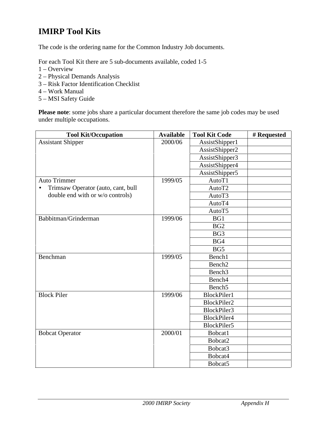## **IMIRP Tool Kits**

The code is the ordering name for the Common Industry Job documents.

For each Tool Kit there are 5 sub-documents available, coded 1-5

- 1 Overview
- 2 Physical Demands Analysis
- 3 Risk Factor Identification Checklist
- 4 Work Manual
- 5 MSI Safety Guide

**Please note**: some jobs share a particular document therefore the same job codes may be used under multiple occupations.

| <b>Tool Kit/Occupation</b>         | <b>Available</b> | <b>Tool Kit Code</b> | # Requested |
|------------------------------------|------------------|----------------------|-------------|
| <b>Assistant Shipper</b>           | 2000/06          | AssistShipper1       |             |
|                                    |                  | AssistShipper2       |             |
|                                    |                  | AssistShipper3       |             |
|                                    |                  | AssistShipper4       |             |
|                                    |                  | AssistShipper5       |             |
| <b>Auto Trimmer</b>                | 1999/05          | AutoT1               |             |
| Trimsaw Operator (auto, cant, bull |                  | AutoT2               |             |
| double end with or w/o controls)   |                  | AutoT3               |             |
|                                    |                  | AutoT4               |             |
|                                    |                  | AutoT5               |             |
| Babbitman/Grinderman               | 1999/06          | BG1                  |             |
|                                    |                  | BG <sub>2</sub>      |             |
|                                    |                  | BG <sub>3</sub>      |             |
|                                    |                  | BG4                  |             |
|                                    |                  | BG5                  |             |
| Benchman                           | 1999/05          | Bench1               |             |
|                                    |                  | Bench <sub>2</sub>   |             |
|                                    |                  | Bench <sub>3</sub>   |             |
|                                    |                  | Bench <sub>4</sub>   |             |
|                                    |                  | Bench <sub>5</sub>   |             |
| <b>Block Piler</b>                 | 1999/06          | <b>BlockPiler1</b>   |             |
|                                    |                  | BlockPiler2          |             |
|                                    |                  | BlockPiler3          |             |
|                                    |                  | BlockPiler4          |             |
|                                    |                  | BlockPiler5          |             |
| <b>Bobcat Operator</b>             | 2000/01          | Bobcat1              |             |
|                                    |                  | Bobcat2              |             |
|                                    |                  | Bobcat3              |             |
|                                    |                  | Bobcat4              |             |
|                                    |                  | Bobcat5              |             |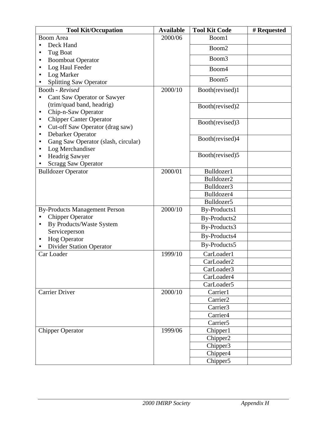| 2000/06<br><b>Boom Area</b><br>Boom1<br>Deck Hand                   |  |
|---------------------------------------------------------------------|--|
|                                                                     |  |
| Boom2                                                               |  |
| Tug Boat<br>٠                                                       |  |
| Boom3<br><b>Boomboat Operator</b><br>$\bullet$                      |  |
| Log Haul Feeder<br>٠<br>Boom4                                       |  |
| Log Marker<br>$\bullet$<br>Boom <sub>5</sub>                        |  |
| <b>Splitting Saw Operator</b>                                       |  |
| 2000/10<br>Booth(revised)1<br>Booth - Revised                       |  |
| Cant Saw Operator or Sawyer<br>٠                                    |  |
| (trim/quad band, headrig)<br>Booth(revised)2<br>Chip-n-Saw Operator |  |
| $\bullet$<br><b>Chipper Canter Operator</b><br>٠                    |  |
| Booth(revised)3<br>Cut-off Saw Operator (drag saw)<br>٠             |  |
| Debarker Operator<br>٠                                              |  |
| Booth(revised)4<br>Gang Saw Operator (slash, circular)<br>٠         |  |
| Log Merchandiser<br>$\bullet$                                       |  |
| Booth(revised)5<br><b>Headrig Sawyer</b><br>٠                       |  |
| <b>Scragg Saw Operator</b>                                          |  |
| <b>Bulldozer Operator</b><br>2000/01<br>Bulldozer1                  |  |
| Bulldozer2                                                          |  |
| Bulldozer3                                                          |  |
| Bulldozer4                                                          |  |
| Bulldozer5                                                          |  |
| <b>By-Products Management Person</b><br>2000/10<br>By-Products1     |  |
| <b>Chipper Operator</b><br>$\bullet$<br>By-Products2                |  |
| By Products/Waste System<br>$\bullet$<br>By-Products3               |  |
| Serviceperson<br>By-Products4                                       |  |
| <b>Hog Operator</b><br>$\bullet$<br>By-Products5                    |  |
| <b>Divider Station Operator</b>                                     |  |
| 1999/10<br>Car Loader<br>CarLoader1                                 |  |
| CarLoader2                                                          |  |
| CarLoader3                                                          |  |
| CarLoader4<br>CarLoader5                                            |  |
| 2000/10<br><b>Carrier Driver</b><br>Carrier1                        |  |
| Carrier <sub>2</sub>                                                |  |
| Carrier3                                                            |  |
| Carrier <sub>4</sub>                                                |  |
| Carrier <sub>5</sub>                                                |  |
| 1999/06<br>Chipper1<br><b>Chipper Operator</b>                      |  |
| Chipper2                                                            |  |
| Chipper <sub>3</sub>                                                |  |
| Chipper <sub>4</sub>                                                |  |
| Chipper5                                                            |  |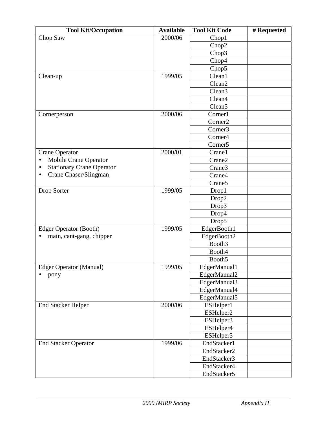| <b>Tool Kit/Occupation</b>            | <b>Available</b> | <b>Tool Kit Code</b> | # Requested |
|---------------------------------------|------------------|----------------------|-------------|
| Chop Saw                              | 2000/06          | Chop1                |             |
|                                       |                  | Chop2                |             |
|                                       |                  | Chop3                |             |
|                                       |                  | Chop4                |             |
|                                       |                  | Chop5                |             |
| Clean-up                              | 1999/05          | Clean1               |             |
|                                       |                  | Clean <sub>2</sub>   |             |
|                                       |                  | Clean <sub>3</sub>   |             |
|                                       |                  | Clean4               |             |
|                                       |                  | Clean <sub>5</sub>   |             |
| Cornerperson                          | 2000/06          | Corner1              |             |
|                                       |                  | Corner <sub>2</sub>  |             |
|                                       |                  | Corner3              |             |
|                                       |                  | Corner <sub>4</sub>  |             |
|                                       |                  | Corner <sub>5</sub>  |             |
| <b>Crane Operator</b>                 | 2000/01          | Crane1               |             |
| Mobile Crane Operator<br>$\bullet$    |                  | Crane2               |             |
| <b>Stationary Crane Operator</b><br>٠ |                  | Crane3               |             |
| Crane Chaser/Slingman<br>$\bullet$    |                  | Crane4               |             |
|                                       |                  | Crane <sub>5</sub>   |             |
| Drop Sorter                           | 1999/05          | Drop1                |             |
|                                       |                  | Drop2                |             |
|                                       |                  | Drop3                |             |
|                                       |                  | Drop4                |             |
|                                       |                  | Drop5                |             |
| <b>Edger Operator (Booth)</b>         | 1999/05          | EdgerBooth1          |             |
| main, cant-gang, chipper              |                  | EdgerBooth2          |             |
|                                       |                  | Booth3               |             |
|                                       |                  | Booth4               |             |
|                                       |                  | Booth <sub>5</sub>   |             |
| <b>Edger Operator (Manual)</b>        | 1999/05          | EdgerManual1         |             |
| pony                                  |                  | EdgerManual2         |             |
|                                       |                  | EdgerManual3         |             |
|                                       |                  | EdgerManual4         |             |
|                                       |                  | EdgerManual5         |             |
| <b>End Stacker Helper</b>             | 2000/06          | ESHelper1            |             |
|                                       |                  | ESHelper2            |             |
|                                       |                  | ESHelper3            |             |
|                                       |                  | ESHelper4            |             |
|                                       |                  | ESHelper5            |             |
| <b>End Stacker Operator</b>           | 1999/06          | EndStacker1          |             |
|                                       |                  | EndStacker2          |             |
|                                       |                  | EndStacker3          |             |
|                                       |                  | EndStacker4          |             |
|                                       |                  | EndStacker5          |             |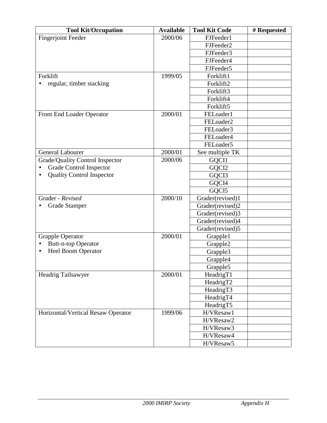| <b>Tool Kit/Occupation</b>                    | <b>Available</b> | <b>Tool Kit Code</b>  | # Requested |
|-----------------------------------------------|------------------|-----------------------|-------------|
| <b>Fingerjoint Feeder</b>                     | 2000/06          | FJFeeder1             |             |
|                                               |                  | FJFeeder2             |             |
|                                               |                  | FJFeeder3             |             |
|                                               |                  | FJFeeder4             |             |
|                                               |                  | FJFeeder5             |             |
| Forklift                                      | 1999/05          | Forklift1             |             |
| regular, timber stacking                      |                  | Forklift2             |             |
|                                               |                  | Forklift3             |             |
|                                               |                  | Forklift4             |             |
|                                               |                  | Forklift5             |             |
| Front End Loader Operator                     | 2000/01          | FELoader1             |             |
|                                               |                  | FELoader2             |             |
|                                               |                  | FELoader3             |             |
|                                               |                  | FELoader4             |             |
|                                               |                  | FELoader5             |             |
| <b>General Labourer</b>                       | 2000/01          | See multiple TK       |             |
| Grade/Quality Control Inspector               | 2000/06          | GQCI1                 |             |
| <b>Grade Control Inspector</b>                |                  | GQCI2                 |             |
| <b>Quality Control Inspector</b><br>$\bullet$ |                  | GQCI3                 |             |
|                                               |                  | GQCI4                 |             |
|                                               |                  | GQCI5                 |             |
| Grader - Revised                              | 2000/10          | Grader(revised)1      |             |
| <b>Grade Stamper</b>                          |                  | Grader(revised)2      |             |
|                                               |                  | Grader(revised)3      |             |
|                                               |                  | Grader(revised)4      |             |
|                                               |                  | Grader(revised)5      |             |
| <b>Grapple Operator</b>                       | 2000/01          | Grapple1              |             |
| <b>Butt-n-top Operator</b><br>٠               |                  | Grapple2              |             |
| <b>Heel Boom Operator</b><br>$\bullet$        |                  | Grapple3              |             |
|                                               |                  | Grapple4              |             |
|                                               |                  | Grapple5              |             |
| Headrig Tailsawyer                            | 2000/01          | Headrig <sub>T1</sub> |             |
|                                               |                  | HeadrigT2             |             |
|                                               |                  | HeadrigT3             |             |
|                                               |                  | HeadrigT4             |             |
|                                               |                  | HeadrigT5             |             |
| Horizontal/Vertical Resaw Operator            | 1999/06          | H/VResaw1             |             |
|                                               |                  | H/VResaw2             |             |
|                                               |                  | H/VResaw3             |             |
|                                               |                  | H/VResaw4             |             |
|                                               |                  | H/VResaw5             |             |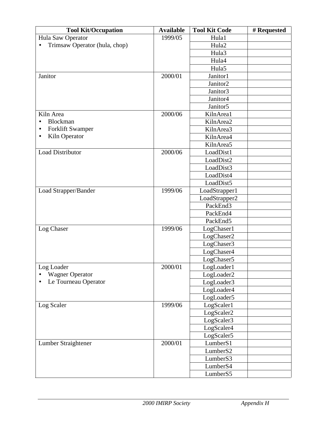| <b>Tool Kit/Occupation</b>    | <b>Available</b> | <b>Tool Kit Code</b> | # Requested |
|-------------------------------|------------------|----------------------|-------------|
| Hula Saw Operator             | 1999/05          | Hula1                |             |
| Trimsaw Operator (hula, chop) |                  | Hula2                |             |
|                               |                  | Hula3                |             |
|                               |                  | Hula4                |             |
|                               |                  | Hula5                |             |
| Janitor                       | 2000/01          | Janitor1             |             |
|                               |                  | Janitor2             |             |
|                               |                  | Janitor3             |             |
|                               |                  | Janitor <sub>4</sub> |             |
|                               |                  | Janitor <sub>5</sub> |             |
| Kiln Area                     | 2000/06          | KilnArea1            |             |
| Blockman                      |                  | KilnArea2            |             |
| <b>Forklift Swamper</b><br>٠  |                  | KilnArea3            |             |
| Kiln Operator<br>$\bullet$    |                  | KilnArea4            |             |
|                               |                  | KilnArea5            |             |
| <b>Load Distributor</b>       | 2000/06          | LoadDist1            |             |
|                               |                  | LoadDist2            |             |
|                               |                  | LoadDist3            |             |
|                               |                  | LoadDist4            |             |
|                               |                  | LoadDist5            |             |
| Load Strapper/Bander          | 1999/06          | LoadStrapper1        |             |
|                               |                  | LoadStrapper2        |             |
|                               |                  | PackEnd3             |             |
|                               |                  | PackEnd4             |             |
|                               |                  | PackEnd5             |             |
| Log Chaser                    | 1999/06          | LogChaser1           |             |
|                               |                  | LogChaser2           |             |
|                               |                  | LogChaser3           |             |
|                               |                  | LogChaser4           |             |
|                               |                  | LogChaser5           |             |
| Log Loader                    | 2000/01          | LogLoader1           |             |
| <b>Wagner Operator</b>        |                  | LogLoader2           |             |
| Le Tourneau Operator          |                  | LogLoader3           |             |
|                               |                  | LogLoader4           |             |
|                               |                  | LogLoader5           |             |
| Log Scaler                    | 1999/06          | LogScaler1           |             |
|                               |                  | LogScaler2           |             |
|                               |                  | LogScaler3           |             |
|                               |                  | LogScaler4           |             |
|                               |                  | LogScaler5           |             |
| Lumber Straightener           | 2000/01          | Lumber <sub>S1</sub> |             |
|                               |                  | LumberS2             |             |
|                               |                  | Lumber <sub>S3</sub> |             |
|                               |                  | Lumber <sub>S4</sub> |             |
|                               |                  | LumberS5             |             |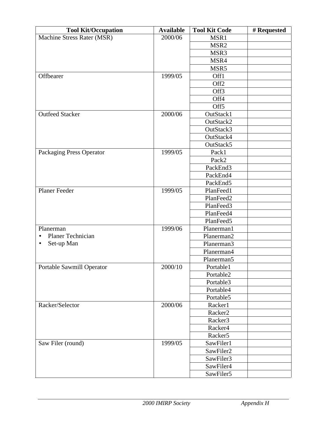| <b>Tool Kit/Occupation</b>     | <b>Available</b> | <b>Tool Kit Code</b>   | # Requested |
|--------------------------------|------------------|------------------------|-------------|
| Machine Stress Rater (MSR)     | 2000/06          | MSR1                   |             |
|                                |                  | MSR <sub>2</sub>       |             |
|                                |                  | MSR3                   |             |
|                                |                  | MSR4                   |             |
|                                |                  | MSR5                   |             |
| Offbearer                      | 1999/05          | Off1                   |             |
|                                |                  | Off <sub>2</sub>       |             |
|                                |                  | Off3                   |             |
|                                |                  | Off4                   |             |
|                                |                  | Off <sub>5</sub>       |             |
| <b>Outfeed Stacker</b>         | 2000/06          | OutStack1              |             |
|                                |                  | OutStack2              |             |
|                                |                  | OutStack3              |             |
|                                |                  | OutStack4              |             |
|                                |                  | OutStack5              |             |
| Packaging Press Operator       | 1999/05          | Pack1                  |             |
|                                |                  | Pack2                  |             |
|                                |                  | PackEnd3               |             |
|                                |                  | PackEnd4               |             |
|                                |                  | PackEnd5               |             |
| <b>Planer Feeder</b>           | 1999/05          | PlanFeed1              |             |
|                                |                  | PlanFeed2              |             |
|                                |                  | PlanFeed3              |             |
|                                |                  | PlanFeed4              |             |
|                                |                  | PlanFeed5              |             |
| Planerman                      | 1999/06          | Planerman1             |             |
| Planer Technician<br>$\bullet$ |                  | Planerman2             |             |
| Set-up Man<br>٠                |                  | Planerman3             |             |
|                                |                  | Planerman4             |             |
|                                |                  | Planerman <sub>5</sub> |             |
| Portable Sawmill Operator      | 2000/10          | Portable1              |             |
|                                |                  | Portable2              |             |
|                                |                  | Portable3              |             |
|                                |                  | Portable4              |             |
|                                |                  | Portable5              |             |
| Racker/Selector                | 2000/06          | Racker1                |             |
|                                |                  | Racker <sub>2</sub>    |             |
|                                |                  | Racker3                |             |
|                                |                  | Racker <sub>4</sub>    |             |
|                                |                  | Racker <sub>5</sub>    |             |
| Saw Filer (round)              | 1999/05          | SawFiler1              |             |
|                                |                  | SawFiler2              |             |
|                                |                  | SawFiler3              |             |
|                                |                  | SawFiler4              |             |
|                                |                  | SawFiler5              |             |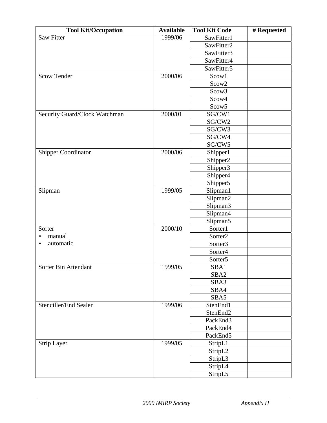| <b>Tool Kit/Occupation</b><br>1999/06<br><b>Saw Fitter</b><br>SawFitter1<br>SawFitter2<br>SawFitter3<br>SawFitter4<br>SawFitter5<br>2000/06<br><b>Scow Tender</b><br>Scow1<br>Scow2<br>Scow3<br>Scow4<br>Scow5<br>2000/01<br>SG/CW1<br>Security Guard/Clock Watchman<br>SG/CW2<br>SG/CW3<br>SG/CW4<br>SG/CW5<br><b>Shipper Coordinator</b><br>2000/06<br>Shipper1<br>Shipper2<br>Shipper3<br>Shipper <sub>4</sub> |
|-------------------------------------------------------------------------------------------------------------------------------------------------------------------------------------------------------------------------------------------------------------------------------------------------------------------------------------------------------------------------------------------------------------------|
|                                                                                                                                                                                                                                                                                                                                                                                                                   |
|                                                                                                                                                                                                                                                                                                                                                                                                                   |
|                                                                                                                                                                                                                                                                                                                                                                                                                   |
|                                                                                                                                                                                                                                                                                                                                                                                                                   |
|                                                                                                                                                                                                                                                                                                                                                                                                                   |
|                                                                                                                                                                                                                                                                                                                                                                                                                   |
|                                                                                                                                                                                                                                                                                                                                                                                                                   |
|                                                                                                                                                                                                                                                                                                                                                                                                                   |
|                                                                                                                                                                                                                                                                                                                                                                                                                   |
|                                                                                                                                                                                                                                                                                                                                                                                                                   |
|                                                                                                                                                                                                                                                                                                                                                                                                                   |
|                                                                                                                                                                                                                                                                                                                                                                                                                   |
|                                                                                                                                                                                                                                                                                                                                                                                                                   |
|                                                                                                                                                                                                                                                                                                                                                                                                                   |
|                                                                                                                                                                                                                                                                                                                                                                                                                   |
|                                                                                                                                                                                                                                                                                                                                                                                                                   |
|                                                                                                                                                                                                                                                                                                                                                                                                                   |
|                                                                                                                                                                                                                                                                                                                                                                                                                   |
|                                                                                                                                                                                                                                                                                                                                                                                                                   |
| Shipper5                                                                                                                                                                                                                                                                                                                                                                                                          |
| 1999/05<br>Slipman<br>Slipman1                                                                                                                                                                                                                                                                                                                                                                                    |
| Slipman2                                                                                                                                                                                                                                                                                                                                                                                                          |
| Slipman3                                                                                                                                                                                                                                                                                                                                                                                                          |
| Slipman4                                                                                                                                                                                                                                                                                                                                                                                                          |
| Slipman5                                                                                                                                                                                                                                                                                                                                                                                                          |
| 2000/10<br>Sorter1<br>Sorter                                                                                                                                                                                                                                                                                                                                                                                      |
| manual<br>Sorter2<br>٠                                                                                                                                                                                                                                                                                                                                                                                            |
| automatic<br>Sorter3<br>$\bullet$                                                                                                                                                                                                                                                                                                                                                                                 |
| Sorter4                                                                                                                                                                                                                                                                                                                                                                                                           |
| Sorter <sub>5</sub>                                                                                                                                                                                                                                                                                                                                                                                               |
| Sorter Bin Attendant<br>1999/05<br>SBA1                                                                                                                                                                                                                                                                                                                                                                           |
| SBA <sub>2</sub>                                                                                                                                                                                                                                                                                                                                                                                                  |
| SBA3                                                                                                                                                                                                                                                                                                                                                                                                              |
| SBA4                                                                                                                                                                                                                                                                                                                                                                                                              |
| SBA5                                                                                                                                                                                                                                                                                                                                                                                                              |
| Stenciller/End Sealer<br>1999/06<br>StenEnd1                                                                                                                                                                                                                                                                                                                                                                      |
| StenEnd2                                                                                                                                                                                                                                                                                                                                                                                                          |
| PackEnd3                                                                                                                                                                                                                                                                                                                                                                                                          |
| PackEnd4                                                                                                                                                                                                                                                                                                                                                                                                          |
| PackEnd5                                                                                                                                                                                                                                                                                                                                                                                                          |
| 1999/05<br>StripL1<br><b>Strip Layer</b>                                                                                                                                                                                                                                                                                                                                                                          |
| StripL2                                                                                                                                                                                                                                                                                                                                                                                                           |
| StripL3                                                                                                                                                                                                                                                                                                                                                                                                           |
| StripL4                                                                                                                                                                                                                                                                                                                                                                                                           |
| StripL5                                                                                                                                                                                                                                                                                                                                                                                                           |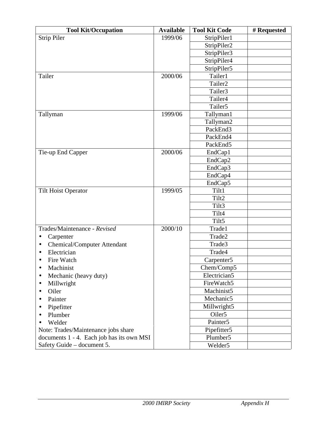| <b>Tool Kit/Occupation</b>                | <b>Available</b> | <b>Tool Kit Code</b>   | # Requested |
|-------------------------------------------|------------------|------------------------|-------------|
| <b>Strip Piler</b>                        | 1999/06          | StripPiler1            |             |
|                                           |                  | StripPiler2            |             |
|                                           |                  | StripPiler3            |             |
|                                           |                  | StripPiler4            |             |
|                                           |                  | StripPiler5            |             |
| Tailer                                    | 2000/06          | Tailer1                |             |
|                                           |                  | Tailer <sub>2</sub>    |             |
|                                           |                  | Tailer3                |             |
|                                           |                  | Tailer4                |             |
|                                           |                  | Tailer <sub>5</sub>    |             |
| Tallyman                                  | 1999/06          | Tallyman1              |             |
|                                           |                  | Tallyman2              |             |
|                                           |                  | PackEnd3               |             |
|                                           |                  | PackEnd4               |             |
|                                           |                  | PackEnd5               |             |
| Tie-up End Capper                         | 2000/06          | EndCap1                |             |
|                                           |                  | EndCap2                |             |
|                                           |                  | EndCap3                |             |
|                                           |                  | EndCap4                |             |
|                                           |                  | EndCap5                |             |
| <b>Tilt Hoist Operator</b>                | 1999/05          | Tilt1                  |             |
|                                           |                  | Tilt2                  |             |
|                                           |                  | Tilt3                  |             |
|                                           |                  | Tilt4                  |             |
|                                           |                  | Tilt5                  |             |
| Trades/Maintenance - Revised              | 2000/10          | Trade1                 |             |
| Carpenter<br>$\bullet$                    |                  | Trade2                 |             |
| <b>Chemical/Computer Attendant</b><br>٠   |                  | Trade3                 |             |
| Electrician<br>$\bullet$                  |                  | Trade4                 |             |
| Fire Watch<br>$\bullet$                   |                  | Carpenter <sub>5</sub> |             |
| Machinist<br>$\bullet$                    |                  | Chem/Comp5             |             |
| Mechanic (heavy duty)<br>$\bullet$        |                  | Electrician5           |             |
| Millwright<br>$\bullet$                   |                  | FireWatch5             |             |
| Oiler<br>$\bullet$                        |                  | Machinist5             |             |
| Painter<br>$\bullet$                      |                  | Mechanic5              |             |
| Pipefitter                                |                  | Millwright5            |             |
| Plumber<br>$\bullet$                      |                  | Oiler <sub>5</sub>     |             |
| Welder                                    |                  | Painter <sub>5</sub>   |             |
| Note: Trades/Maintenance jobs share       |                  | Pipefitter5            |             |
| documents 1 - 4. Each job has its own MSI |                  | Plumber <sub>5</sub>   |             |
| Safety Guide - document 5.                |                  | Welder <sub>5</sub>    |             |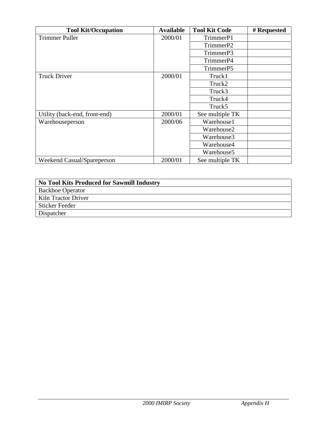| <b>Tool Kit/Occupation</b>    | <b>Available</b> | <b>Tool Kit Code</b>   | # Requested |
|-------------------------------|------------------|------------------------|-------------|
| <b>Trimmer Puller</b>         | 2000/01          | TrimmerP1              |             |
|                               |                  | TrimmerP2              |             |
|                               |                  | TrimmerP3              |             |
|                               |                  | TrimmerP4              |             |
|                               |                  | TrimmerP5              |             |
| <b>Truck Driver</b>           | 2000/01          | Truck1                 |             |
|                               |                  | Truck2                 |             |
|                               |                  | Truck3                 |             |
|                               |                  | Truck4                 |             |
|                               |                  | Truck <sub>5</sub>     |             |
| Utility (back-end, front-end) | 2000/01          | See multiple TK        |             |
| Warehouseperson               | 2000/06          | Warehouse1             |             |
|                               |                  | Warehouse2             |             |
|                               |                  | Warehouse3             |             |
|                               |                  | Warehouse4             |             |
|                               |                  | Warehouse <sub>5</sub> |             |
| Weekend Casual/Spareperson    | 2000/01          | See multiple TK        |             |

| <b>No Tool Kits Produced for Sawmill Industry</b> |
|---------------------------------------------------|
| <b>Backhoe Operator</b>                           |
| Kiln Tractor Driver                               |
| <b>Sticker Feeder</b>                             |
| Dispatcher                                        |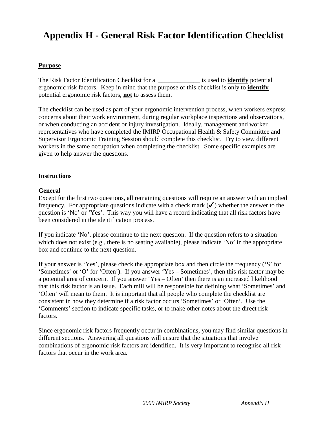# **Appendix H - General Risk Factor Identification Checklist**

#### **Purpose**

The Risk Factor Identification Checklist for a z is used to **identify** potential ergonomic risk factors. Keep in mind that the purpose of this checklist is only to **identify** potential ergonomic risk factors, **not** to assess them.

The checklist can be used as part of your ergonomic intervention process, when workers express concerns about their work environment, during regular workplace inspections and observations, or when conducting an accident or injury investigation. Ideally, management and worker representatives who have completed the IMIRP Occupational Health & Safety Committee and Supervisor Ergonomic Training Session should complete this checklist. Try to view different workers in the same occupation when completing the checklist. Some specific examples are given to help answer the questions.

#### **Instructions**

#### **General**

Except for the first two questions, all remaining questions will require an answer with an implied frequency. For appropriate questions indicate with a check mark  $(\checkmark)$  whether the answer to the question is 'No' or 'Yes'. This way you will have a record indicating that all risk factors have been considered in the identification process.

If you indicate 'No', please continue to the next question. If the question refers to a situation which does not exist (e.g., there is no seating available), please indicate 'No' in the appropriate box and continue to the next question.

If your answer is 'Yes', please check the appropriate box and then circle the frequency ('S' for 'Sometimes' or 'O' for 'Often'). If you answer 'Yes – Sometimes', then this risk factor may be a potential area of concern. If you answer 'Yes – Often' then there is an increased likelihood that this risk factor is an issue. Each mill will be responsible for defining what 'Sometimes' and 'Often' will mean to them. It is important that all people who complete the checklist are consistent in how they determine if a risk factor occurs 'Sometimes' or 'Often'. Use the 'Comments' section to indicate specific tasks, or to make other notes about the direct risk factors.

Since ergonomic risk factors frequently occur in combinations, you may find similar questions in different sections. Answering all questions will ensure that the situations that involve combinations of ergonomic risk factors are identified. It is very important to recognise all risk factors that occur in the work area.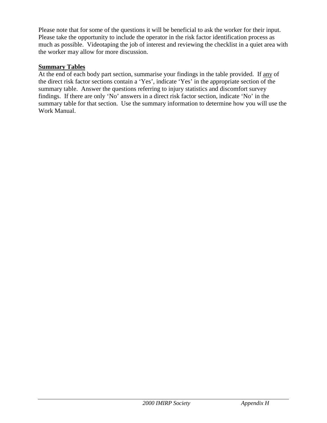Please note that for some of the questions it will be beneficial to ask the worker for their input. Please take the opportunity to include the operator in the risk factor identification process as much as possible. Videotaping the job of interest and reviewing the checklist in a quiet area with the worker may allow for more discussion.

#### **Summary Tables**

At the end of each body part section, summarise your findings in the table provided. If any of the direct risk factor sections contain a 'Yes', indicate 'Yes' in the appropriate section of the summary table. Answer the questions referring to injury statistics and discomfort survey findings. If there are only 'No' answers in a direct risk factor section, indicate 'No' in the summary table for that section. Use the summary information to determine how you will use the Work Manual.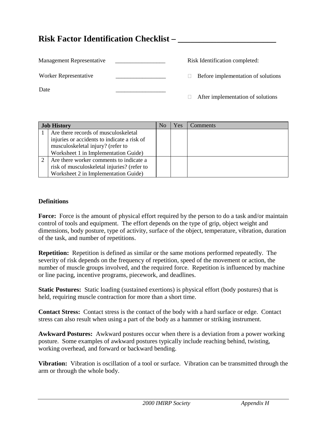### **Risk Factor Identification Checklist – \_\_\_\_\_\_\_\_\_\_\_\_\_\_\_\_\_\_\_\_\_\_\_**

| Management Representative |  | Risk Identification completed:     |
|---------------------------|--|------------------------------------|
| Worker Representative     |  | Before implementation of solutions |
| Date                      |  |                                    |
|                           |  | After implementation of solutions  |

| <b>Job History</b>                                                                                                                                               | No | Yes | Comments |
|------------------------------------------------------------------------------------------------------------------------------------------------------------------|----|-----|----------|
| Are there records of musculoskeletal<br>injuries or accidents to indicate a risk of<br>musculoskeletal injury? (refer to<br>Worksheet 1 in Implementation Guide) |    |     |          |
| Are there worker comments to indicate a<br>risk of musculoskeletal injuries? (refer to<br>Worksheet 2 in Implementation Guide)                                   |    |     |          |

#### **Definitions**

**Force:** Force is the amount of physical effort required by the person to do a task and/or maintain control of tools and equipment. The effort depends on the type of grip, object weight and dimensions, body posture, type of activity, surface of the object, temperature, vibration, duration of the task, and number of repetitions.

**Repetition:** Repetition is defined as similar or the same motions performed repeatedly. The severity of risk depends on the frequency of repetition, speed of the movement or action, the number of muscle groups involved, and the required force. Repetition is influenced by machine or line pacing, incentive programs, piecework, and deadlines.

**Static Postures:** Static loading (sustained exertions) is physical effort (body postures) that is held, requiring muscle contraction for more than a short time.

**Contact Stress:** Contact stress is the contact of the body with a hard surface or edge. Contact stress can also result when using a part of the body as a hammer or striking instrument.

**Awkward Postures:** Awkward postures occur when there is a deviation from a power working posture. Some examples of awkward postures typically include reaching behind, twisting, working overhead, and forward or backward bending.

**Vibration:** Vibration is oscillation of a tool or surface. Vibration can be transmitted through the arm or through the whole body.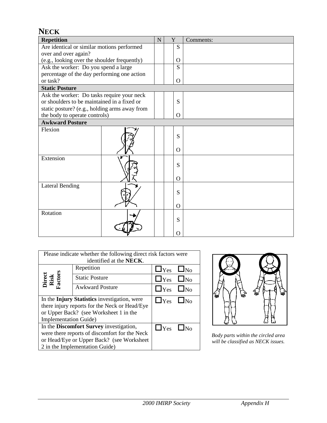| <b>NECK</b>                                   |   |   |                |           |
|-----------------------------------------------|---|---|----------------|-----------|
| <b>Repetition</b>                             | N | Y |                | Comments: |
| Are identical or similar motions performed    |   |   | S              |           |
| over and over again?                          |   |   |                |           |
| (e.g., looking over the shoulder frequently)  |   |   | O              |           |
| Ask the worker: Do you spend a large          |   |   | $\overline{S}$ |           |
| percentage of the day performing one action   |   |   |                |           |
| or task?                                      |   |   | $\Omega$       |           |
| <b>Static Posture</b>                         |   |   |                |           |
| Ask the worker: Do tasks require your neck    |   |   |                |           |
| or shoulders to be maintained in a fixed or   |   |   | S              |           |
| static posture? (e.g., holding arms away from |   |   |                |           |
| the body to operate controls)                 |   |   | $\Omega$       |           |
| <b>Awkward Posture</b>                        |   |   |                |           |
| Flexion                                       |   |   | S              |           |
|                                               |   |   | $\Omega$       |           |
| Extension                                     |   |   | S              |           |
|                                               |   |   | $\Omega$       |           |
| <b>Lateral Bending</b>                        |   |   | S              |           |
|                                               |   |   | $\Omega$       |           |
| Rotation                                      |   |   | S              |           |
|                                               |   |   | O              |           |

| Please indicate whether the following direct risk factors were |                                              |                      |  |  |  |
|----------------------------------------------------------------|----------------------------------------------|----------------------|--|--|--|
|                                                                | identified at the NECK.                      |                      |  |  |  |
|                                                                | Repetition                                   | $\Box$ Yes $\Box$ No |  |  |  |
| Direct<br>Risk<br>Factors                                      | <b>Static Posture</b>                        | $\Box$ Yes $\Box$ No |  |  |  |
|                                                                | <b>Awkward Posture</b>                       | $\Box$ Yes $\Box$ No |  |  |  |
|                                                                | In the Injury Statistics investigation, were | $\Box$ Yes $\Box$ No |  |  |  |
| there injury reports for the Neck or Head/Eye                  |                                              |                      |  |  |  |
| or Upper Back? (see Worksheet 1 in the                         |                                              |                      |  |  |  |
| Implementation Guide)                                          |                                              |                      |  |  |  |
| In the Discomfort Survey investigation,                        | $\Box$ Yes $\Box$ No                         |                      |  |  |  |
| were there reports of discomfort for the Neck                  |                                              |                      |  |  |  |
| or Head/Eye or Upper Back? (see Worksheet                      |                                              |                      |  |  |  |
| 2 in the Implementation Guide)                                 |                                              |                      |  |  |  |



*Body parts within the circled area will be classified as NECK issues.*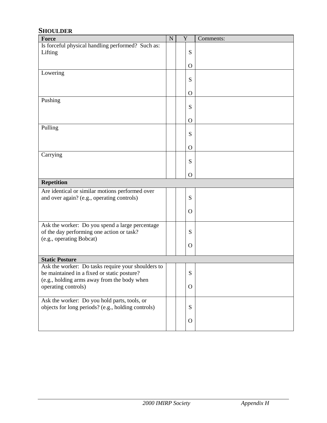#### **SHOULDER**

| Force                                              | ${\bf N}$ | $\mathbf Y$ |              | Comments: |
|----------------------------------------------------|-----------|-------------|--------------|-----------|
| Is forceful physical handling performed? Such as:  |           |             |              |           |
| Lifting                                            |           |             | S            |           |
|                                                    |           |             |              |           |
| Lowering                                           |           |             | $\mathbf{O}$ |           |
|                                                    |           |             | S            |           |
|                                                    |           |             |              |           |
|                                                    |           |             | $\Omega$     |           |
| Pushing                                            |           |             |              |           |
|                                                    |           |             | S            |           |
|                                                    |           |             |              |           |
| Pulling                                            |           |             | $\Omega$     |           |
|                                                    |           |             | S            |           |
|                                                    |           |             |              |           |
|                                                    |           |             | $\mathbf{O}$ |           |
| Carrying                                           |           |             |              |           |
|                                                    |           |             | S            |           |
|                                                    |           |             |              |           |
| <b>Repetition</b>                                  |           |             | $\mathbf{O}$ |           |
|                                                    |           |             |              |           |
| Are identical or similar motions performed over    |           |             | S            |           |
| and over again? (e.g., operating controls)         |           |             |              |           |
|                                                    |           |             | $\Omega$     |           |
|                                                    |           |             |              |           |
| Ask the worker: Do you spend a large percentage    |           |             |              |           |
| of the day performing one action or task?          |           |             | S            |           |
| (e.g., operating Bobcat)                           |           |             |              |           |
|                                                    |           |             | $\Omega$     |           |
| <b>Static Posture</b>                              |           |             |              |           |
| Ask the worker: Do tasks require your shoulders to |           |             |              |           |
| be maintained in a fixed or static posture?        |           |             | S            |           |
| (e.g., holding arms away from the body when        |           |             |              |           |
| operating controls)                                |           |             | $\mathbf O$  |           |
|                                                    |           |             |              |           |
| Ask the worker: Do you hold parts, tools, or       |           |             |              |           |
| objects for long periods? (e.g., holding controls) |           |             | S            |           |
|                                                    |           |             | $\mathbf{O}$ |           |
|                                                    |           |             |              |           |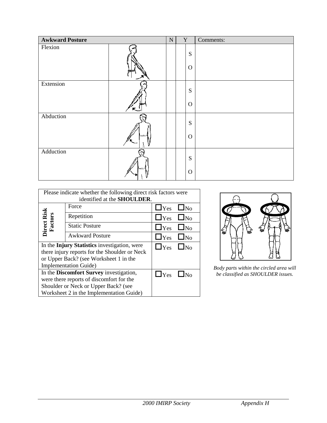| <b>Awkward Posture</b> |   | ${\bf N}$ | Y |             | Comments: |
|------------------------|---|-----------|---|-------------|-----------|
| Flexion                |   |           |   | ${\bf S}$   |           |
|                        |   |           |   | $\mathbf O$ |           |
| Extension              |   |           |   | ${\bf S}$   |           |
|                        | ݘ |           |   | $\mathbf O$ |           |
| Abduction              |   |           |   | ${\bf S}$   |           |
|                        |   |           |   | $\mathbf O$ |           |
| Adduction              |   |           |   | ${\bf S}$   |           |
|                        |   |           |   | $\mathbf O$ |           |

| Please indicate whether the following direct risk factors were |                                               |                      |           |  |  |  |  |
|----------------------------------------------------------------|-----------------------------------------------|----------------------|-----------|--|--|--|--|
|                                                                | identified at the SHOULDER.                   |                      |           |  |  |  |  |
|                                                                | Force                                         | $\Box$ Yes           | $\Box$ No |  |  |  |  |
|                                                                | Repetition                                    | $\Box$ Yes $\Box$ No |           |  |  |  |  |
| Direct Risk<br>Factors                                         | <b>Static Posture</b>                         | $\Box$ Yes           | $\Box$ No |  |  |  |  |
|                                                                | <b>Awkward Posture</b>                        | $\Box$ Yes $\Box$ No |           |  |  |  |  |
|                                                                | In the Injury Statistics investigation, were  | $\Box$ Yes $\Box$ No |           |  |  |  |  |
|                                                                | there injury reports for the Shoulder or Neck |                      |           |  |  |  |  |
|                                                                | or Upper Back? (see Worksheet 1 in the        |                      |           |  |  |  |  |
|                                                                | <b>Implementation Guide</b> )                 |                      |           |  |  |  |  |
|                                                                | In the Discomfort Survey investigation,       | $\Box$ Yes           |           |  |  |  |  |
|                                                                | were there reports of discomfort for the      |                      |           |  |  |  |  |
|                                                                | Shoulder or Neck or Upper Back? (see          |                      |           |  |  |  |  |
|                                                                | Worksheet 2 in the Implementation Guide)      |                      |           |  |  |  |  |



*Body parts within the circled area will be classified as SHOULDER issues.*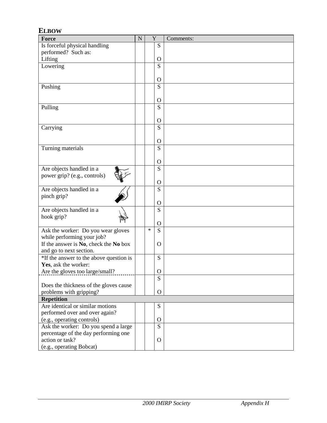#### **ELBOW Force** N Y Comments: Is forceful physical handling performed? Such as: **Lifting** S  $rac{O}{S}$ Lowering O Pushing S O Pulling S O Carrying S O Turning materials and set of the S O Are objects handled in a power grip? (e.g., controls) S O Are objects handled in a pinch grip? S O Are objects handled in a hook grip? S O Ask the worker: Do you wear gloves while performing your job? If the answer is **No**, check the **No** box and go to next section.  $* S$ O \*If the answer to the above question is **Yes**, ask the worker: Are the gloves too large/small? S O Does the thickness of the gloves cause problems with gripping? S O **Repetition** Are identical or similar motions performed over and over again? (e.g., operating controls) S O Ask the worker: Do you spend a large percentage of the day performing one action or task? (e.g., operating Bobcat) S O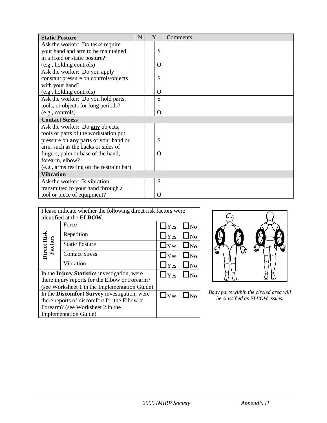| <b>Static Posture</b>                        | N | Y        | Comments: |
|----------------------------------------------|---|----------|-----------|
| Ask the worker: Do tasks require             |   |          |           |
| your hand and arm to be maintained           |   | S        |           |
| in a fixed or static posture?                |   |          |           |
| (e.g., holding controls)                     |   | O        |           |
| Ask the worker: Do you apply                 |   |          |           |
| constant pressure on controls/objects        |   | S        |           |
| with your hand?                              |   |          |           |
| (e.g., holding controls)                     |   | O        |           |
| Ask the worker: Do you hold parts,           |   | S        |           |
| tools, or objects for long periods?          |   |          |           |
| (e.g., controls)                             |   | $\Omega$ |           |
| <b>Contact Stress</b>                        |   |          |           |
| Ask the worker: Do any objects,              |   |          |           |
| tools or parts of the workstation put        |   |          |           |
| pressure on <b>any</b> parts of your hand or |   | S        |           |
| arm, such as the backs or sides of           |   |          |           |
| fingers, palm or base of the hand,           |   | $\Omega$ |           |
| forearm, elbow?                              |   |          |           |
| (e.g., arms resting on the restraint bar)    |   |          |           |
| <b>Vibration</b>                             |   |          |           |
| Ask the worker: Is vibration                 |   | S        |           |
| transmitted to your hand through a           |   |          |           |
| tool or piece of equipment?                  |   | O        |           |

| Please indicate whether the following direct risk factors were |                                               |                      |           |  |  |  |  |  |  |
|----------------------------------------------------------------|-----------------------------------------------|----------------------|-----------|--|--|--|--|--|--|
|                                                                | identified at the <b>ELBOW</b> .              |                      |           |  |  |  |  |  |  |
|                                                                | Force                                         | $\Box$ Yes           | $\Box$ No |  |  |  |  |  |  |
|                                                                | Repetition                                    | $\Box$ Yes $\Box$ No |           |  |  |  |  |  |  |
| Direct Risk<br>Factors                                         | <b>Static Posture</b>                         | $\Box$ Yes $\Box$ No |           |  |  |  |  |  |  |
|                                                                | <b>Contact Stress</b>                         | $\Box$ Yes           | $\Box$ No |  |  |  |  |  |  |
|                                                                | Vibration                                     | $\Box$ Yes           | $\Box$ No |  |  |  |  |  |  |
| In the Injury Statistics investigation, were                   | $\Box$ Yes                                    | $\Box$ No            |           |  |  |  |  |  |  |
| there injury reports for the Elbow or Forearm?                 |                                               |                      |           |  |  |  |  |  |  |
|                                                                | (see Worksheet 1 in the Implementation Guide) |                      |           |  |  |  |  |  |  |
| In the Discomfort Survey investigation, were                   | $\Box$ Yes                                    |                      |           |  |  |  |  |  |  |
| there reports of discomfort for the Elbow or                   |                                               |                      |           |  |  |  |  |  |  |
| Forearm? (see Worksheet 2 in the                               |                                               |                      |           |  |  |  |  |  |  |
|                                                                | <b>Implementation Guide</b> )                 |                      |           |  |  |  |  |  |  |



 $\boxed{\bigcap \text{Yes} \quad \text{No} \quad}$  Body parts within the circled area will be classified as ELBOW issues.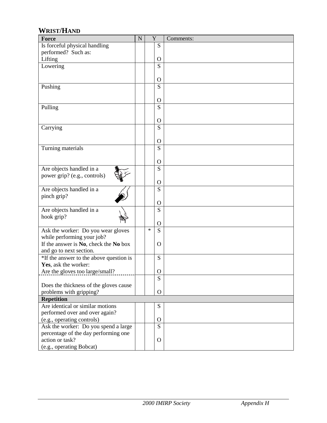#### **WRIST/HAND**

| Force                                   | ${\bf N}$ | Y      |              | Comments: |
|-----------------------------------------|-----------|--------|--------------|-----------|
| Is forceful physical handling           |           |        | S            |           |
| performed? Such as:                     |           |        |              |           |
| Lifting                                 |           |        | $\Omega$     |           |
| Lowering                                |           |        | S            |           |
|                                         |           |        |              |           |
|                                         |           |        | $\Omega$     |           |
| Pushing                                 |           |        | S            |           |
|                                         |           |        |              |           |
|                                         |           |        | $\mathbf{O}$ |           |
| Pulling                                 |           |        | S            |           |
|                                         |           |        |              |           |
|                                         |           |        | $\Omega$     |           |
| Carrying                                |           |        | S            |           |
|                                         |           |        |              |           |
|                                         |           |        | $\Omega$     |           |
| Turning materials                       |           |        | S            |           |
|                                         |           |        |              |           |
|                                         |           |        | $\Omega$     |           |
| Are objects handled in a                |           |        | S            |           |
| power grip? (e.g., controls)            |           |        |              |           |
|                                         |           |        | $\Omega$     |           |
| Are objects handled in a                |           |        | S            |           |
| pinch grip?                             |           |        |              |           |
|                                         |           |        | $\mathbf{O}$ |           |
| Are objects handled in a                |           |        | S            |           |
| hook grip?                              |           |        |              |           |
|                                         |           |        | $\mathbf{O}$ |           |
| Ask the worker: Do you wear gloves      |           | $\ast$ | S            |           |
| while performing your job?              |           |        |              |           |
| If the answer is No, check the No box   |           |        | $\Omega$     |           |
| and go to next section.                 |           |        |              |           |
| *If the answer to the above question is |           |        | S            |           |
| Yes, ask the worker:                    |           |        |              |           |
| Are the gloves too large/small?         |           |        | O            |           |
|                                         |           |        | S            |           |
| Does the thickness of the gloves cause  |           |        |              |           |
| problems with gripping?                 |           |        | $\Omega$     |           |
| <b>Repetition</b>                       |           |        |              |           |
| Are identical or similar motions        |           |        | ${\bf S}$    |           |
| performed over and over again?          |           |        |              |           |
| (e.g., operating controls)              |           |        | $\Omega$     |           |
| Ask the worker: Do you spend a large    |           |        | S            |           |
| percentage of the day performing one    |           |        |              |           |
| action or task?                         |           |        | $\mathbf{O}$ |           |
| (e.g., operating Bobcat)                |           |        |              |           |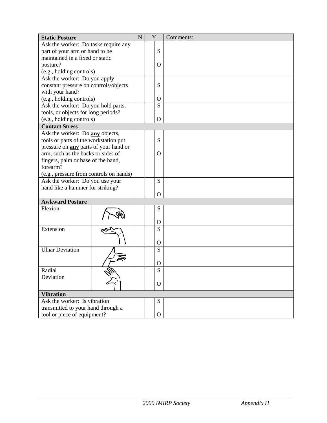| <b>Static Posture</b>                        |  | ${\bf N}$ | Y            | Comments: |
|----------------------------------------------|--|-----------|--------------|-----------|
| Ask the worker: Do tasks require any         |  |           |              |           |
| part of your arm or hand to be               |  |           | S            |           |
| maintained in a fixed or static              |  |           |              |           |
| posture?                                     |  |           | $\Omega$     |           |
| (e.g., holding controls)                     |  |           |              |           |
| Ask the worker: Do you apply                 |  |           |              |           |
| constant pressure on controls/objects        |  |           | S            |           |
| with your hand?                              |  |           |              |           |
| (e.g., holding controls)                     |  |           | $\Omega$     |           |
| Ask the worker: Do you hold parts,           |  |           | S            |           |
| tools, or objects for long periods?          |  |           |              |           |
| (e.g., holding controls)                     |  |           | $\Omega$     |           |
| <b>Contact Stress</b>                        |  |           |              |           |
| Ask the worker: Do any objects,              |  |           |              |           |
| tools or parts of the workstation put        |  |           | S            |           |
| pressure on <b>any</b> parts of your hand or |  |           |              |           |
| arm, such as the backs or sides of           |  |           | $\Omega$     |           |
| fingers, palm or base of the hand,           |  |           |              |           |
| forearm?                                     |  |           |              |           |
| (e.g., pressure from controls on hands)      |  |           |              |           |
| Ask the worker: Do you use your              |  |           | S            |           |
| hand like a hammer for striking?             |  |           |              |           |
|                                              |  |           | $\Omega$     |           |
| <b>Awkward Posture</b>                       |  |           |              |           |
| Flexion                                      |  |           | S            |           |
|                                              |  |           |              |           |
|                                              |  |           | $\Omega$     |           |
| Extension                                    |  |           | S            |           |
|                                              |  |           |              |           |
|                                              |  |           | $\Omega$     |           |
| <b>Ulnar Deviation</b>                       |  |           | S            |           |
|                                              |  |           |              |           |
|                                              |  |           | $\Omega$     |           |
| Radial                                       |  |           | S            |           |
| Deviation                                    |  |           |              |           |
|                                              |  |           | $\mathbf{O}$ |           |
| <b>Vibration</b>                             |  |           |              |           |
| Ask the worker: Is vibration                 |  |           | ${\bf S}$    |           |
| transmitted to your hand through a           |  |           |              |           |
| tool or piece of equipment?                  |  |           | $\mathbf{O}$ |           |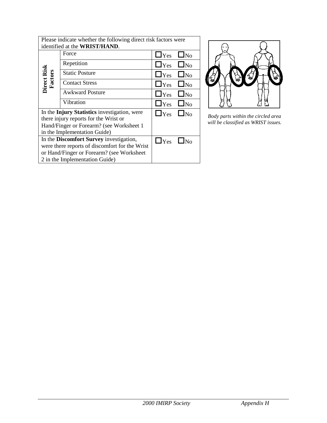|                               | Please indicate whether the following direct risk factors were |                      |           |  |  |  |  |  |  |
|-------------------------------|----------------------------------------------------------------|----------------------|-----------|--|--|--|--|--|--|
| identified at the WRIST/HAND. |                                                                |                      |           |  |  |  |  |  |  |
|                               | Force                                                          | $\Box$ Yes           | $\Box$ No |  |  |  |  |  |  |
|                               | Repetition                                                     | $\Box$ Yes $\Box$ No |           |  |  |  |  |  |  |
| <b>Direct Risk</b><br>Factors | <b>Static Posture</b>                                          | $\Box$ Yes           | $\Box$ No |  |  |  |  |  |  |
|                               | <b>Contact Stress</b>                                          | $\Box$ Yes           | $\Box$ No |  |  |  |  |  |  |
|                               | <b>Awkward Posture</b>                                         | $\Box$ Yes           | $\Box$ No |  |  |  |  |  |  |
|                               | Vibration                                                      | $\Box$ Yes $\Box$ No |           |  |  |  |  |  |  |
|                               | In the Injury Statistics investigation, were                   | $\Box$ Yes $\Box$ No |           |  |  |  |  |  |  |
|                               | there injury reports for the Wrist or                          |                      |           |  |  |  |  |  |  |
|                               | Hand/Finger or Forearm? (see Worksheet 1                       |                      |           |  |  |  |  |  |  |
|                               | in the Implementation Guide)                                   |                      |           |  |  |  |  |  |  |
|                               | In the Discomfort Survey investigation,                        | $\Box$ Yes           |           |  |  |  |  |  |  |
|                               | were there reports of discomfort for the Wrist                 |                      |           |  |  |  |  |  |  |
|                               | or Hand/Finger or Forearm? (see Worksheet                      |                      |           |  |  |  |  |  |  |
|                               | 2 in the Implementation Guide)                                 |                      |           |  |  |  |  |  |  |



*Body parts within the circled area will be classified as WRIST issues.*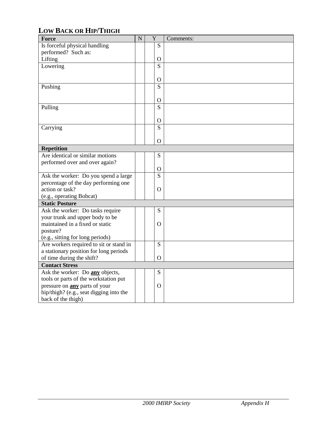## **LOW BACK OR HIP/THIGH**

| Force                                   | $\mathbf N$ | Y              | Comments: |
|-----------------------------------------|-------------|----------------|-----------|
| Is forceful physical handling           |             | S              |           |
| performed? Such as:                     |             |                |           |
| Lifting                                 |             | $\overline{O}$ |           |
| Lowering                                |             | S              |           |
|                                         |             |                |           |
|                                         |             | $\mathbf{O}$   |           |
| Pushing                                 |             | S              |           |
|                                         |             |                |           |
|                                         |             | $\overline{O}$ |           |
| Pulling                                 |             | S              |           |
|                                         |             |                |           |
|                                         |             | $\mathbf{O}$   |           |
| Carrying                                |             | S              |           |
|                                         |             |                |           |
|                                         |             | $\overline{O}$ |           |
| <b>Repetition</b>                       |             |                |           |
| Are identical or similar motions        |             | S              |           |
| performed over and over again?          |             |                |           |
|                                         |             | $\mathbf O$    |           |
| Ask the worker: Do you spend a large    |             | S              |           |
| percentage of the day performing one    |             |                |           |
| action or task?                         |             | $\overline{O}$ |           |
| (e.g., operating Bobcat)                |             |                |           |
| <b>Static Posture</b>                   |             |                |           |
| Ask the worker: Do tasks require        |             | ${\bf S}$      |           |
| your trunk and upper body to be         |             |                |           |
| maintained in a fixed or static         |             | $\Omega$       |           |
| posture?                                |             |                |           |
| (e.g., sitting for long periods)        |             |                |           |
| Are workers required to sit or stand in |             | S              |           |
| a stationary position for long periods  |             |                |           |
| of time during the shift?               |             | $\Omega$       |           |
| <b>Contact Stress</b>                   |             |                |           |
| Ask the worker: Do any objects,         |             | ${\bf S}$      |           |
| tools or parts of the workstation put   |             |                |           |
| pressure on <b>any</b> parts of your    |             | $\Omega$       |           |
| hip/thigh? (e.g., seat digging into the |             |                |           |
| back of the thigh)                      |             |                |           |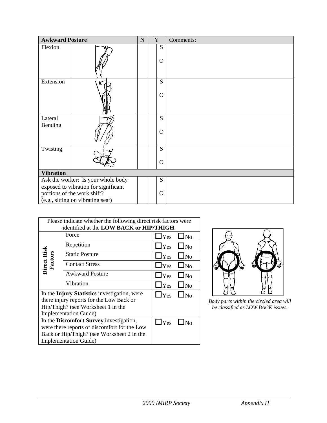| Please indicate whether the following direct risk factors were |                                              |                         |  |  |  |  |  |  |
|----------------------------------------------------------------|----------------------------------------------|-------------------------|--|--|--|--|--|--|
| identified at the LOW BACK or HIP/THIGH.                       |                                              |                         |  |  |  |  |  |  |
|                                                                | Force                                        | $\Box$ Yes<br>$\Box$ No |  |  |  |  |  |  |
|                                                                | Repetition                                   | $\Box$ Yes<br>$\Box$ No |  |  |  |  |  |  |
|                                                                | <b>Static Posture</b>                        | $\Box$ Yes<br>$\Box$ No |  |  |  |  |  |  |
| Direct Risk<br>Factors                                         | <b>Contact Stress</b>                        | $\Box$ Yes<br>$\Box$ No |  |  |  |  |  |  |
|                                                                | <b>Awkward Posture</b>                       | $\Box$ Yes<br>$\Box$ No |  |  |  |  |  |  |
|                                                                | Vibration                                    | $\Box$ Yes $\Box$ No    |  |  |  |  |  |  |
|                                                                | In the Injury Statistics investigation, were | $\Box$ Yes<br>$\Box$ No |  |  |  |  |  |  |
|                                                                | there injury reports for the Low Back or     |                         |  |  |  |  |  |  |
|                                                                | Hip/Thigh? (see Worksheet 1 in the           |                         |  |  |  |  |  |  |
|                                                                | <b>Implementation Guide</b> )                |                         |  |  |  |  |  |  |
|                                                                | In the Discomfort Survey investigation,      | $\Box$ Yes              |  |  |  |  |  |  |
|                                                                | were there reports of discomfort for the Low |                         |  |  |  |  |  |  |
|                                                                | Back or Hip/Thigh? (see Worksheet 2 in the   |                         |  |  |  |  |  |  |
|                                                                | <b>Implementation Guide)</b>                 |                         |  |  |  |  |  |  |



*Body parts within the circled area will be classified as LOW BACK issues.*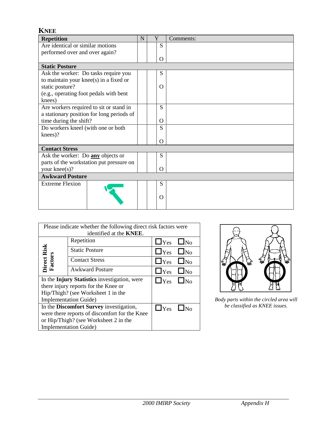| <b>KNEE</b>                               |   |          |           |
|-------------------------------------------|---|----------|-----------|
| <b>Repetition</b>                         | N | Y        | Comments: |
| Are identical or similar motions          |   | S        |           |
| performed over and over again?            |   |          |           |
|                                           |   | O        |           |
| <b>Static Posture</b>                     |   |          |           |
| Ask the worker: Do tasks require you      |   | S        |           |
| to maintain your knee(s) in a fixed or    |   |          |           |
| static posture?                           |   | $\Omega$ |           |
| (e.g., operating foot pedals with bent    |   |          |           |
| knees)                                    |   |          |           |
| Are workers required to sit or stand in   |   | S        |           |
| a stationary position for long periods of |   |          |           |
| time during the shift?                    |   | $\Omega$ |           |
| Do workers kneel (with one or both        |   | S        |           |
| knees)?                                   |   |          |           |
|                                           |   | O        |           |
| <b>Contact Stress</b>                     |   |          |           |
| Ask the worker: Do any objects or         |   | S        |           |
| parts of the workstation put pressure on  |   |          |           |
| your knee(s)?                             |   | $\Omega$ |           |
| <b>Awkward Posture</b>                    |   |          |           |
| <b>Extreme Flexion</b>                    |   | S        |           |
|                                           |   |          |           |
|                                           |   | O        |           |
|                                           |   |          |           |

| Please indicate whether the following direct risk factors were |                                               |                      |  |  |  |  |
|----------------------------------------------------------------|-----------------------------------------------|----------------------|--|--|--|--|
|                                                                | identified at the <b>KNEE</b> .               |                      |  |  |  |  |
|                                                                | Repetition                                    | $\Box$ Yes $\Box$ No |  |  |  |  |
|                                                                | <b>Static Posture</b>                         | $\Box$ Yes $\Box$ No |  |  |  |  |
| Direct Risk<br>Factors                                         | <b>Contact Stress</b>                         | $\Box$ Yes $\Box$ No |  |  |  |  |
|                                                                | <b>Awkward Posture</b>                        | $\Box$ Yes $\Box$ No |  |  |  |  |
|                                                                | In the Injury Statistics investigation, were  | $\Box$ Yes $\Box$ No |  |  |  |  |
|                                                                | there injury reports for the Knee or          |                      |  |  |  |  |
|                                                                | Hip/Thigh? (see Worksheet 1 in the            |                      |  |  |  |  |
|                                                                | <b>Implementation Guide</b> )                 |                      |  |  |  |  |
|                                                                | In the Discomfort Survey investigation,       | $\Box$ Yes           |  |  |  |  |
|                                                                | were there reports of discomfort for the Knee |                      |  |  |  |  |
|                                                                | or Hip/Thigh? (see Worksheet 2 in the         |                      |  |  |  |  |
|                                                                | <b>Implementation Guide</b> )                 |                      |  |  |  |  |



*Body parts within the circled area will be classified as KNEE issues.*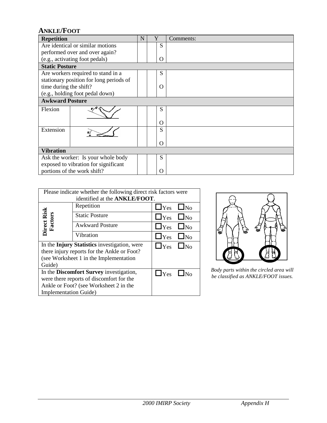#### **ANKLE/FOOT**

| <b>Repetition</b>                       | N | Y        | Comments: |
|-----------------------------------------|---|----------|-----------|
| Are identical or similar motions        |   | S        |           |
| performed over and over again?          |   |          |           |
| (e.g., activating foot pedals)          |   | O        |           |
| <b>Static Posture</b>                   |   |          |           |
| Are workers required to stand in a      |   | S        |           |
| stationary position for long periods of |   |          |           |
| time during the shift?                  |   | $\Omega$ |           |
| (e.g., holding foot pedal down)         |   |          |           |
| <b>Awkward Posture</b>                  |   |          |           |
| Flexion                                 |   | S        |           |
|                                         |   | O        |           |
| Extension                               |   | S        |           |
|                                         |   | $\Omega$ |           |
| <b>Vibration</b>                        |   |          |           |
| Ask the worker: Is your whole body      |   | S        |           |
| exposed to vibration for significant    |   |          |           |
| portions of the work shift?             |   | O        |           |

| Please indicate whether the following direct risk factors were       |            |                                                                               |  |  |  |  |
|----------------------------------------------------------------------|------------|-------------------------------------------------------------------------------|--|--|--|--|
|                                                                      |            |                                                                               |  |  |  |  |
| Repetition                                                           | $\Box$ Yes | $\Box$ No                                                                     |  |  |  |  |
| <b>Static Posture</b>                                                |            |                                                                               |  |  |  |  |
| <b>Awkward Posture</b>                                               | $\Box$ Yes | $\Box$ No                                                                     |  |  |  |  |
| Vibration                                                            |            |                                                                               |  |  |  |  |
| In the Injury Statistics investigation, were<br>$\Box$ Yes $\Box$ No |            |                                                                               |  |  |  |  |
| there injury reports for the Ankle or Foot?                          |            |                                                                               |  |  |  |  |
| (see Worksheet 1 in the Implementation)                              |            |                                                                               |  |  |  |  |
| Guide)                                                               |            |                                                                               |  |  |  |  |
| In the Discomfort Survey investigation,<br>$\Box$ Yes $\Box$ No      |            |                                                                               |  |  |  |  |
| were there reports of discomfort for the                             |            |                                                                               |  |  |  |  |
| Ankle or Foot? (see Worksheet 2 in the                               |            |                                                                               |  |  |  |  |
| <b>Implementation Guide</b> )                                        |            |                                                                               |  |  |  |  |
|                                                                      |            | identified at the ANKLE/FOOT.<br>$\Box$ Yes $\Box$ No<br>$\Box$ Yes $\Box$ No |  |  |  |  |



 $\boxed{\Box$  Yes  $\boxed{\Box}$  No *be classified as ANKLE/FOOT issues.*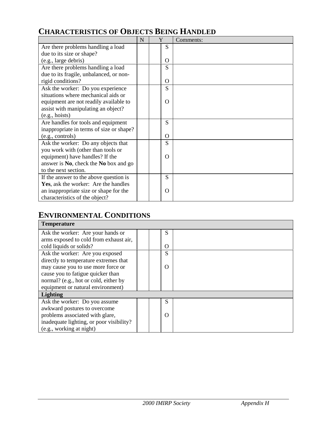# **CHARACTERISTICS OF OBJECTS BEING HANDLED**

|                                          | N | Y |          | Comments: |
|------------------------------------------|---|---|----------|-----------|
| Are there problems handling a load       |   |   | S        |           |
| due to its size or shape?                |   |   |          |           |
| (e.g., large debris)                     |   |   | O        |           |
| Are there problems handling a load       |   |   | S        |           |
| due to its fragile, unbalanced, or non-  |   |   |          |           |
| rigid conditions?                        |   |   | $\Omega$ |           |
| Ask the worker: Do you experience        |   |   | S        |           |
| situations where mechanical aids or      |   |   |          |           |
| equipment are not readily available to   |   |   | O        |           |
| assist with manipulating an object?      |   |   |          |           |
| (e.g., hoists)                           |   |   |          |           |
| Are handles for tools and equipment      |   |   | S        |           |
| inappropriate in terms of size or shape? |   |   |          |           |
| (e.g., controls)                         |   |   | $\Omega$ |           |
| Ask the worker: Do any objects that      |   |   | S        |           |
| you work with (other than tools or       |   |   |          |           |
| equipment) have handles? If the          |   |   | $\Omega$ |           |
| answer is No, check the No box and go    |   |   |          |           |
| to the next section.                     |   |   |          |           |
| If the answer to the above question is   |   |   | S        |           |
| Yes, ask the worker: Are the handles     |   |   |          |           |
| an inappropriate size or shape for the   |   |   | O        |           |
| characteristics of the object?           |   |   |          |           |

#### **ENVIRONMENTAL CONDITIONS**

| <b>Temperature</b>                       |  |          |  |
|------------------------------------------|--|----------|--|
| Ask the worker: Are your hands or        |  | S        |  |
| arms exposed to cold from exhaust air,   |  |          |  |
| cold liquids or solids?                  |  | $\Omega$ |  |
| Ask the worker: Are you exposed          |  | S        |  |
| directly to temperature extremes that    |  |          |  |
| may cause you to use more force or       |  | $\Omega$ |  |
| cause you to fatigue quicker than        |  |          |  |
| normal? (e.g., hot or cold, either by    |  |          |  |
| equipment or natural environment)        |  |          |  |
| <b>Lighting</b>                          |  |          |  |
| Ask the worker: Do you assume            |  | S        |  |
| awkward postures to overcome             |  |          |  |
| problems associated with glare,          |  | $\Omega$ |  |
| inadequate lighting, or poor visibility? |  |          |  |
| (e.g., working at night)                 |  |          |  |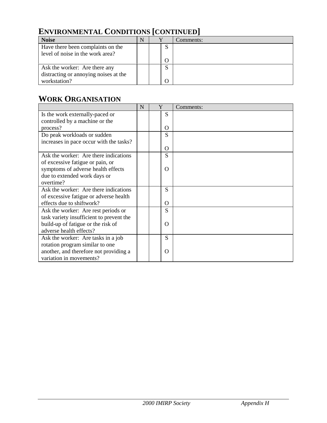# **ENVIRONMENTAL CONDITIONS [CONTINUED]**

| <b>Noise</b>                          | N |    | Comments: |
|---------------------------------------|---|----|-----------|
| Have there been complaints on the     |   | N. |           |
| level of noise in the work area?      |   |    |           |
|                                       |   |    |           |
| Ask the worker: Are there any         |   | N  |           |
| distracting or annoying noises at the |   |    |           |
| workstation?                          |   |    |           |

## **WORK ORGANISATION**

|                                          | N | Y        | Comments: |
|------------------------------------------|---|----------|-----------|
| Is the work externally-paced or          |   | S        |           |
| controlled by a machine or the           |   |          |           |
| process?                                 |   | O        |           |
| Do peak workloads or sudden              |   | S        |           |
| increases in pace occur with the tasks?  |   |          |           |
|                                          |   | $\Omega$ |           |
| Ask the worker: Are there indications    |   | S        |           |
| of excessive fatigue or pain, or         |   |          |           |
| symptoms of adverse health effects       |   | O        |           |
| due to extended work days or             |   |          |           |
| overtime?                                |   |          |           |
| Ask the worker: Are there indications    |   | S        |           |
| of excessive fatigue or adverse health   |   |          |           |
| effects due to shiftwork?                |   | $\Omega$ |           |
| Ask the worker: Are rest periods or      |   | S        |           |
| task variety insufficient to prevent the |   |          |           |
| build-up of fatigue or the risk of       |   | $\Omega$ |           |
| adverse health effects?                  |   |          |           |
| Ask the worker: Are tasks in a job       |   | S        |           |
| rotation program similar to one          |   |          |           |
| another, and therefore not providing a   |   | O        |           |
| variation in movements?                  |   |          |           |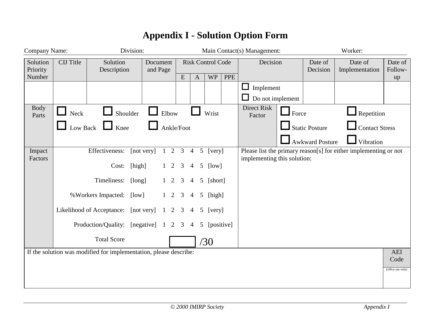| Company Name:        |                  |                                                                   | Division:              |                   |                          |                                  |              |            | Main Contact(s) Management:<br>Worker: |                           |                        |                                                                  |                           |
|----------------------|------------------|-------------------------------------------------------------------|------------------------|-------------------|--------------------------|----------------------------------|--------------|------------|----------------------------------------|---------------------------|------------------------|------------------------------------------------------------------|---------------------------|
| Solution<br>Priority | <b>CIJ</b> Title | Solution<br>Description                                           | Document<br>and Page   |                   | <b>Risk Control Code</b> |                                  | Decision     |            | Date of<br>Decision                    | Date of<br>Implementation | Date of<br>Follow-     |                                                                  |                           |
| Number               |                  |                                                                   |                        |                   | E                        | $\mathbf{A}$                     | <b>WP</b>    | <b>PPE</b> | Implement<br>ப                         |                           |                        |                                                                  | up                        |
|                      |                  |                                                                   |                        |                   |                          |                                  |              |            | Do not implement                       |                           |                        |                                                                  |                           |
| <b>Body</b><br>Parts | <b>Neck</b>      | Shoulder                                                          |                        | Elbow             |                          |                                  | Wrist        |            | Direct Risk<br>Factor                  | $\Box$ Force              |                        | Repetition                                                       |                           |
|                      |                  | Low Back $\Box$ Knee                                              |                        | Ankle/Foot        |                          |                                  |              |            |                                        |                           | Static Posture         | <b>Contact Stress</b>                                            |                           |
|                      |                  |                                                                   |                        |                   |                          |                                  |              |            |                                        |                           | <b>Awkward Posture</b> | Vibration                                                        |                           |
| Impact<br>Factors    |                  | Effectiveness:                                                    | [not very]             | $1\quad 2\quad 3$ |                          | $\overline{4}$                   | 5 [very]     |            | implementing this solution:            |                           |                        | Please list the primary reason[s] for either implementing or not |                           |
|                      |                  | Cost:                                                             | [high]                 | $1\quad 2$        | 3                        | 4                                | $5$ [low]    |            |                                        |                           |                        |                                                                  |                           |
|                      |                  | Timeliness:                                                       | [long]                 | $1\quad 2$        | 3                        | $\overline{4}$                   | 5 [short]    |            |                                        |                           |                        |                                                                  |                           |
|                      |                  | % Workers Impacted:                                               | [low]                  | $1\quad 2$        | 3                        | 5 <sup>5</sup><br>$\overline{4}$ | [high]       |            |                                        |                           |                        |                                                                  |                           |
|                      |                  | Likelihood of Acceptance:                                         | [not very]             | $\mathbf{1}$<br>2 | 3                        | 4                                | 5 [very]     |            |                                        |                           |                        |                                                                  |                           |
|                      |                  | Production/Quality:                                               | [negative] $1 \t2 \t3$ |                   |                          | $\overline{4}$                   | 5 [positive] |            |                                        |                           |                        |                                                                  |                           |
|                      |                  | <b>Total Score</b>                                                |                        |                   |                          |                                  | /30          |            |                                        |                           |                        |                                                                  |                           |
|                      |                  | If the solution was modified for implementation, please describe: |                        |                   |                          |                                  |              |            |                                        |                           |                        |                                                                  | <b>AEI</b>                |
|                      |                  |                                                                   |                        |                   |                          |                                  |              |            |                                        |                           |                        |                                                                  | Code<br>(office use only) |
|                      |                  |                                                                   |                        |                   |                          |                                  |              |            |                                        |                           |                        |                                                                  |                           |
|                      |                  |                                                                   |                        |                   |                          |                                  |              |            |                                        |                           |                        |                                                                  |                           |

# **Appendix I - Solution Option Form**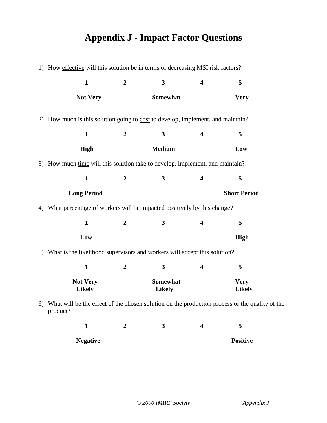# **Appendix J - Impact Factor Questions**

|    | 1) How effective will this solution be in terms of decreasing MSI risk factors?                            |                  |                           |                         |                              |  |
|----|------------------------------------------------------------------------------------------------------------|------------------|---------------------------|-------------------------|------------------------------|--|
|    | $\mathbf{1}$                                                                                               | $\boldsymbol{2}$ | $\mathbf{3}$              | $\overline{\mathbf{4}}$ | 5                            |  |
|    | <b>Not Very</b>                                                                                            |                  | Somewhat                  |                         | <b>Very</b>                  |  |
|    | 2) How much is this solution going to cost to develop, implement, and maintain?                            |                  |                           |                         |                              |  |
|    | $\mathbf{1}$                                                                                               | $\boldsymbol{2}$ | $\mathbf{3}$              | $\overline{\mathbf{4}}$ | 5                            |  |
|    | High                                                                                                       |                  | <b>Medium</b>             |                         | Low                          |  |
|    | 3) How much time will this solution take to develop, implement, and maintain?                              |                  |                           |                         |                              |  |
|    | $\mathbf{1}$                                                                                               | $\overline{2}$   | $\mathbf{3}$              | $\overline{\mathbf{4}}$ | 5                            |  |
|    | <b>Long Period</b>                                                                                         |                  |                           |                         | <b>Short Period</b>          |  |
| 4) | What percentage of workers will be impacted positively by this change?                                     |                  |                           |                         |                              |  |
|    | $\mathbf{1}$                                                                                               | $\boldsymbol{2}$ | 3                         | 4                       | 5                            |  |
|    | Low                                                                                                        |                  |                           |                         | High                         |  |
|    | 5) What is the likelihood supervisors and workers will accept this solution?                               |                  |                           |                         |                              |  |
|    | $\mathbf{1}$                                                                                               | $\overline{2}$   | 3                         | $\overline{\mathbf{4}}$ | 5                            |  |
|    | <b>Not Very</b><br><b>Likely</b>                                                                           |                  | Somewhat<br><b>Likely</b> |                         | <b>Very</b><br><b>Likely</b> |  |
| 6) | What will be the effect of the chosen solution on the production process or the quality of the<br>product? |                  |                           |                         |                              |  |
|    | $\mathbf{1}$                                                                                               | $\boldsymbol{2}$ | $\mathbf{3}$              | 4                       | 5                            |  |
|    | <b>Negative</b>                                                                                            |                  |                           |                         | <b>Positive</b>              |  |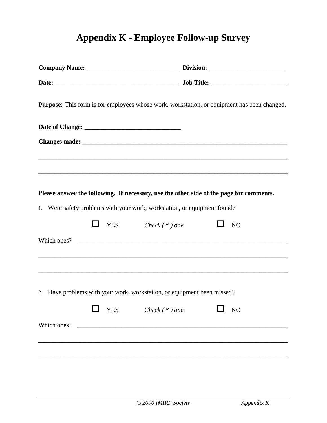# **Appendix K - Employee Follow-up Survey**

| <b>Purpose:</b> This form is for employees whose work, workstation, or equipment has been changed. |                          |
|----------------------------------------------------------------------------------------------------|--------------------------|
|                                                                                                    |                          |
|                                                                                                    |                          |
|                                                                                                    |                          |
|                                                                                                    |                          |
| Please answer the following. If necessary, use the other side of the page for comments.            |                          |
| 1. Were safety problems with your work, workstation, or equipment found?                           |                          |
| $\Box$ YES Check ( $\vee$ ) one.                                                                   | $\Box$<br>N <sub>O</sub> |
| Which ones?                                                                                        |                          |
|                                                                                                    |                          |
|                                                                                                    |                          |
| Have problems with your work, workstation, or equipment been missed?<br>2.                         |                          |
| <b>YES</b><br>Check $(\vee)$ one.                                                                  | NO                       |
|                                                                                                    |                          |
|                                                                                                    |                          |
|                                                                                                    |                          |
|                                                                                                    |                          |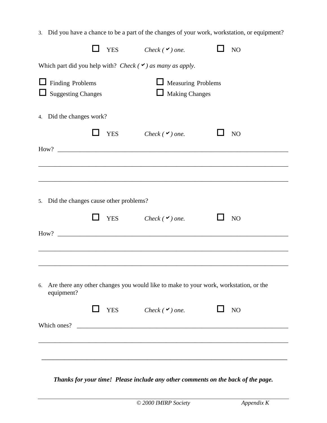|                                                                |            | 3. Did you have a chance to be a part of the changes of your work, workstation, or equipment? |                 |
|----------------------------------------------------------------|------------|-----------------------------------------------------------------------------------------------|-----------------|
|                                                                | <b>YES</b> | Check ( $\vee$ ) one.                                                                         | NO <sub>1</sub> |
| Which part did you help with? Check $(\vee)$ as many as apply. |            |                                                                                               |                 |
| <b>Finding Problems</b><br><b>Suggesting Changes</b>           |            | Measuring Problems<br>$\Box$ Making Changes                                                   |                 |
| 4. Did the changes work?                                       |            |                                                                                               |                 |
|                                                                | <b>YES</b> | Check $(\vee)$ one.                                                                           | NO              |
|                                                                |            |                                                                                               |                 |
|                                                                |            |                                                                                               |                 |
| 5. Did the changes cause other problems?                       |            |                                                                                               |                 |
|                                                                | <b>YES</b> | Check $(\vee)$ one.                                                                           | NO              |
|                                                                |            |                                                                                               |                 |
|                                                                |            |                                                                                               |                 |
| 6.<br>equipment?                                               |            | Are there any other changes you would like to make to your work, workstation, or the          |                 |
|                                                                |            | $\Box$ YES Check ( $\vee$ ) one.                                                              | $\Box$ NO       |
|                                                                |            | Which ones?                                                                                   |                 |
|                                                                |            |                                                                                               |                 |
|                                                                |            |                                                                                               |                 |

*Thanks for your time! Please include any other comments on the back of the page.*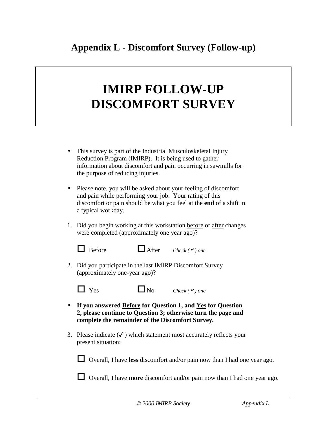# **IMIRP FOLLOW-UP DISCOMFORT SURVEY**

- This survey is part of the Industrial Musculoskeletal Injury Reduction Program (IMIRP). It is being used to gather information about discomfort and pain occurring in sawmills for the purpose of reducing injuries.
- Please note, you will be asked about your feeling of discomfort and pain while performing your job. Your rating of this discomfort or pain should be what you feel at the **end** of a shift in a typical workday.
- 1. Did you begin working at this workstation before or after changes were completed (approximately one year ago)?
	- $\Box$  Before  $\Box$  After *Check* ( $\checkmark$ ) one.
- 2. Did you participate in the last IMIRP Discomfort Survey (approximately one-year ago)?



 $\Box$  Yes  $\Box$  No *Check* (*v*) one

- **If you answered Before for Question 1, and Yes for Question 2, please continue to Question 3; otherwise turn the page and complete the remainder of the Discomfort Survey.**
- 3. Please indicate  $(\checkmark)$  which statement most accurately reflects your present situation:

 $\Box$  Overall, I have **less** discomfort and/or pain now than I had one year ago.

**T** Overall, I have **more** discomfort and/or pain now than I had one year ago.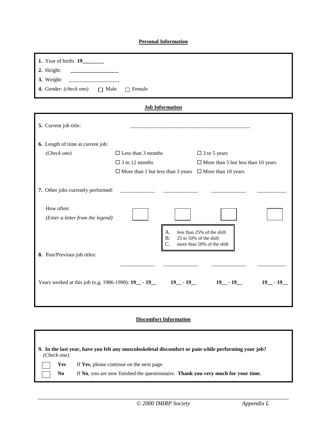#### **Personal Information**

| 1. Year of birth: 19                             |                                                                                                  |                                                                                    |
|--------------------------------------------------|--------------------------------------------------------------------------------------------------|------------------------------------------------------------------------------------|
| 2. Height:                                       |                                                                                                  |                                                                                    |
| 3. Weight:                                       |                                                                                                  |                                                                                    |
| 4. Gender: (check one) $\Box$ Male $\Box$ Female |                                                                                                  |                                                                                    |
|                                                  | <b>Job Information</b>                                                                           |                                                                                    |
|                                                  |                                                                                                  |                                                                                    |
| 5. Current job title:                            |                                                                                                  |                                                                                    |
|                                                  |                                                                                                  |                                                                                    |
| 6. Length of time at current job:                |                                                                                                  |                                                                                    |
| (Check one)                                      | $\Box$ Less than 3 months                                                                        | $\Box$ 3 to 5 years                                                                |
|                                                  | $\Box$ 3 to 12 months                                                                            | $\Box$ More than 5 but less than 10 years                                          |
|                                                  | $\Box$ More than 1 but less than 3 years $\Box$ More than 10 years                               |                                                                                    |
| 7. Other jobs currently performed:<br>How often: |                                                                                                  |                                                                                    |
| (Enter a letter from the legend)                 |                                                                                                  |                                                                                    |
|                                                  | А.<br><b>B.</b><br>C.                                                                            | less than 25% of the shift<br>25 to 50% of the shift<br>more than 50% of the shift |
| 8. Past/Previous job titles:                     |                                                                                                  |                                                                                    |
|                                                  | Years worked at this job (e.g. 1986-1990): $19$ - $19$ - $19$ - $19$ - $19$ - $19$ - $19$ - $19$ | $19 - 19$                                                                          |

#### **Discomfort Information**

| (Check one)    | 9. In the last year, have you felt any musculoskeletal discomfort or pain while performing your job? |
|----------------|------------------------------------------------------------------------------------------------------|
| <b>Yes</b>     | If Yes, please continue on the next page.                                                            |
| N <sub>0</sub> | If No, you are now finished the questionnaire. Thank you very much for your time.                    |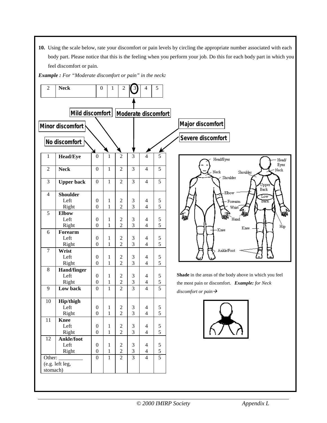**10.** Using the scale below, rate your discomfort or pain levels by circling the appropriate number associated with each body part. Please notice that this is the feeling when you perform your job. Do this for each body part in which you feel discomfort or pain.

*Example : For "Moderate discomfort or pain" in the neck:*